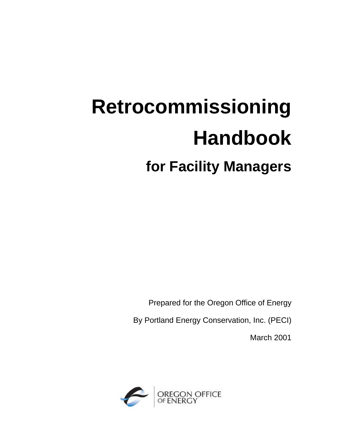# **Retrocommissioning Handbook for Facility Managers**

Prepared for the Oregon Office of Energy

By Portland Energy Conservation, Inc. (PECI)

March 2001

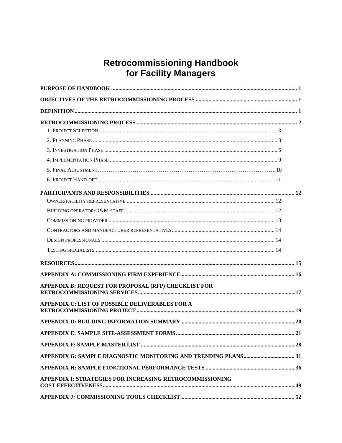# Retrocommissioning Handbook<br>for Facility Managers

| APPENDIX B: REQUEST FOR PROPOSAL (RFP) CHECKLIST FOR     |  |
|----------------------------------------------------------|--|
| <b>APPENDIX C: LIST OF POSSIBLE DELIVERABLES FOR A</b>   |  |
|                                                          |  |
|                                                          |  |
|                                                          |  |
|                                                          |  |
|                                                          |  |
| APPENDIX I: STRATEGIES FOR INCREASING RETROCOMMISSIONING |  |
|                                                          |  |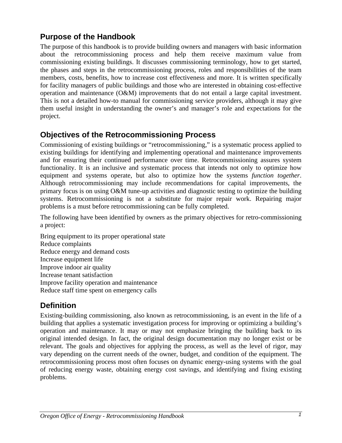# **Purpose of the Handbook**

The purpose of this handbook is to provide building owners and managers with basic information about the retrocommissioning process and help them receive maximum value from commissioning existing buildings. It discusses commissioning terminology, how to get started, the phases and steps in the retrocommissioning process, roles and responsibilities of the team members, costs, benefits, how to increase cost effectiveness and more. It is written specifically for facility managers of public buildings and those who are interested in obtaining cost-effective operation and maintenance (O&M) improvements that do not entail a large capital investment. This is not a detailed how-to manual for commissioning service providers, although it may give them useful insight in understanding the owner's and manager's role and expectations for the project.

# **Objectives of the Retrocommissioning Process**

Commissioning of existing buildings or "retrocommissioning," is a systematic process applied to existing buildings for identifying and implementing operational and maintenance improvements and for ensuring their continued performance over time. Retrocommissioning assures system functionality. It is an inclusive and systematic process that intends not only to optimize how equipment and systems operate, but also to optimize how the systems *function together*. Although retrocommissioning may include recommendations for capital improvements, the primary focus is on using O&M tune-up activities and diagnostic testing to optimize the building systems. Retrocommissioning is not a substitute for major repair work. Repairing major problems is a must before retrocommissioning can be fully completed.

The following have been identified by owners as the primary objectives for retro-commissioning a project:

Bring equipment to its proper operational state Reduce complaints Reduce energy and demand costs Increase equipment life Improve indoor air quality Increase tenant satisfaction Improve facility operation and maintenance Reduce staff time spent on emergency calls

# **Definition**

Existing-building commissioning, also known as retrocommissioning, is an event in the life of a building that applies a systematic investigation process for improving or optimizing a building's operation and maintenance. It may or may not emphasize bringing the building back to its original intended design. In fact, the original design documentation may no longer exist or be relevant. The goals and objectives for applying the process, as well as the level of rigor, may vary depending on the current needs of the owner, budget, and condition of the equipment. The retrocommissioning process most often focuses on dynamic energy-using systems with the goal of reducing energy waste, obtaining energy cost savings, and identifying and fixing existing problems.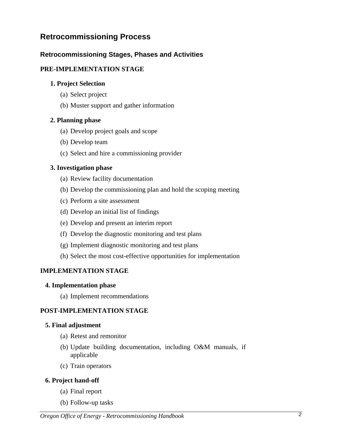## **Retrocommissioning Process**

## **Retrocommissioning Stages, Phases and Activities**

## **PRE-IMPLEMENTATION STAGE**

#### **1. Project Selection**

- (a) Select project
- (b) Muster support and gather information

### **2. Planning phase**

- (a) Develop project goals and scope
- (b) Develop team
- (c) Select and hire a commissioning provider

#### **3. Investigation phase**

- (a) Review facility documentation
- (b) Develop the commissioning plan and hold the scoping meeting
- (c) Perform a site assessment
- (d) Develop an initial list of findings
- (e) Develop and present an interim report
- (f) Develop the diagnostic monitoring and test plans
- (g) Implement diagnostic monitoring and test plans
- (h) Select the most cost-effective opportunities for implementation

## **IMPLEMENTATION STAGE**

#### **4. Implementation phase**

(a) Implement recommendations

## **POST-IMPLEMENTATION STAGE**

#### **5. Final adjustment**

- (a) Retest and remonitor
- (b) Update building documentation, including O&M manuals, if applicable
- (c) Train operators

#### **6. Project hand-off**

- (a) Final report
- (b) Follow-up tasks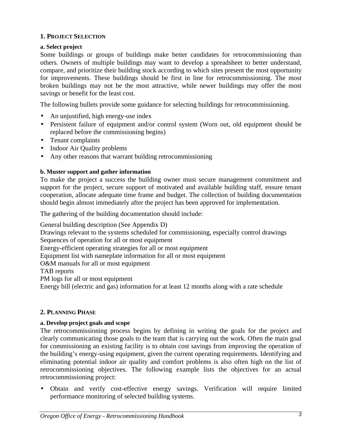## **1. PROJECT SELECTION**

## **a. Select project**

Some buildings or groups of buildings make better candidates for retrocommissioning than others. Owners of multiple buildings may want to develop a spreadsheet to better understand, compare, and prioritize their building stock according to which sites present the most opportunity for improvements. These buildings should be first in line for retrocommissioning. The most broken buildings may not be the most attractive, while newer buildings may offer the most savings or benefit for the least cost.

The following bullets provide some guidance for selecting buildings for retrocommissioning.

- An unjustified, high energy-use index
- Persistent failure of equipment and/or control system (Worn out, old equipment should be replaced before the commissioning begins)
- Tenant complaints
- Indoor Air Quality problems
- Any other reasons that warrant building retrocommissioning

#### **b. Muster support and gather information**

To make the project a success the building owner must secure management commitment and support for the project, secure support of motivated and available building staff, ensure tenant cooperation, allocate adequate time frame and budget. The collection of building documentation should begin almost immediately after the project has been approved for implementation.

The gathering of the building documentation should include:

General building description (See Appendix D) Drawings relevant to the systems scheduled for commissioning, especially control drawings Sequences of operation for all or most equipment Energy-efficient operating strategies for all or most equipment Equipment list with nameplate information for all or most equipment O&M manuals for all or most equipment TAB reports PM logs for all or most equipment Energy bill (electric and gas) information for at least 12 months along with a rate schedule

#### **2. PLANNING PHASE**

#### **a. Develop project goals and scope**

The retrocommissioning process begins by defining in writing the goals for the project and clearly communicating those goals to the team that is carrying out the work. Often the main goal for commissioning an existing facility is to obtain cost savings from improving the operation of the building's energy-using equipment, given the current operating requirements. Identifying and eliminating potential indoor air quality and comfort problems is also often high on the list of retrocommissioning objectives. The following example lists the objectives for an actual retrocommissioning project:

• Obtain and verify cost-effective energy savings. Verification will require limited performance monitoring of selected building systems.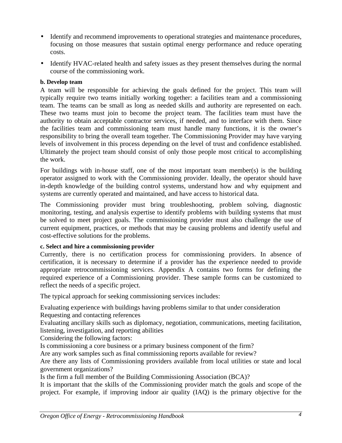- Identify and recommend improvements to operational strategies and maintenance procedures, focusing on those measures that sustain optimal energy performance and reduce operating costs.
- Identify HVAC-related health and safety issues as they present themselves during the normal course of the commissioning work.

## **b. Develop team**

A team will be responsible for achieving the goals defined for the project. This team will typically require two teams initially working together: a facilities team and a commissioning team. The teams can be small as long as needed skills and authority are represented on each. These two teams must join to become the project team. The facilities team must have the authority to obtain acceptable contractor services, if needed, and to interface with them. Since the facilities team and commissioning team must handle many functions, it is the owner's responsibility to bring the overall team together. The Commissioning Provider may have varying levels of involvement in this process depending on the level of trust and confidence established. Ultimately the project team should consist of only those people most critical to accomplishing the work.

For buildings with in-house staff, one of the most important team member(s) is the building operator assigned to work with the Commissioning provider. Ideally, the operator should have in-depth knowledge of the building control systems, understand how and why equipment and systems are currently operated and maintained, and have access to historical data.

The Commissioning provider must bring troubleshooting, problem solving, diagnostic monitoring, testing, and analysis expertise to identify problems with building systems that must be solved to meet project goals. The commissioning provider must also challenge the use of current equipment, practices, or methods that may be causing problems and identify useful and cost-effective solutions for the problems.

## **c. Select and hire a commissioning provider**

Currently, there is no certification process for commissioning providers. In absence of certification, it is necessary to determine if a provider has the experience needed to provide appropriate retrocommissioning services. Appendix A contains two forms for defining the required experience of a Commissioning provider. These sample forms can be customized to reflect the needs of a specific project.

The typical approach for seeking commissioning services includes:

Evaluating experience with buildings having problems similar to that under consideration

Requesting and contacting references

Evaluating ancillary skills such as diplomacy, negotiation, communications, meeting facilitation, listening, investigation, and reporting abilities

Considering the following factors:

Is commissioning a core business or a primary business component of the firm?

Are any work samples such as final commissioning reports available for review?

Are there any lists of Commissioning providers available from local utilities or state and local government organizations?

Is the firm a full member of the Building Commissioning Association (BCA)?

It is important that the skills of the Commissioning provider match the goals and scope of the project. For example, if improving indoor air quality (IAQ) is the primary objective for the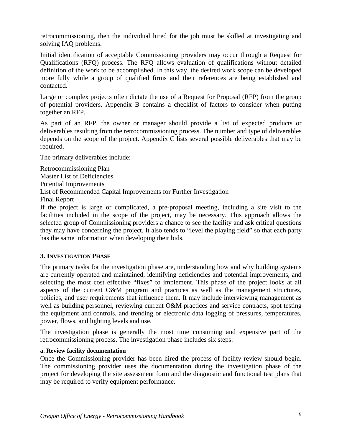retrocommissioning, then the individual hired for the job must be skilled at investigating and solving IAQ problems.

Initial identification of acceptable Commissioning providers may occur through a Request for Qualifications (RFQ) process. The RFQ allows evaluation of qualifications without detailed definition of the work to be accomplished. In this way, the desired work scope can be developed more fully while a group of qualified firms and their references are being established and contacted.

Large or complex projects often dictate the use of a Request for Proposal (RFP) from the group of potential providers. Appendix B contains a checklist of factors to consider when putting together an RFP.

As part of an RFP, the owner or manager should provide a list of expected products or deliverables resulting from the retrocommissioning process. The number and type of deliverables depends on the scope of the project. Appendix C lists several possible deliverables that may be required.

The primary deliverables include:

Retrocommissioning Plan Master List of Deficiencies Potential Improvements List of Recommended Capital Improvements for Further Investigation Final Report

If the project is large or complicated, a pre-proposal meeting, including a site visit to the facilities included in the scope of the project, may be necessary. This approach allows the selected group of Commissioning providers a chance to see the facility and ask critical questions they may have concerning the project. It also tends to "level the playing field" so that each party has the same information when developing their bids.

## **3. INVESTIGATION PHASE**

The primary tasks for the investigation phase are, understanding how and why building systems are currently operated and maintained, identifying deficiencies and potential improvements, and selecting the most cost effective "fixes" to implement. This phase of the project looks at all aspects of the current O&M program and practices as well as the management structures, policies, and user requirements that influence them. It may include interviewing management as well as building personnel, reviewing current O&M practices and service contracts, spot testing the equipment and controls, and trending or electronic data logging of pressures, temperatures, power, flows, and lighting levels and use.

The investigation phase is generally the most time consuming and expensive part of the retrocommissioning process. The investigation phase includes six steps:

#### **a. Review facility documentation**

Once the Commissioning provider has been hired the process of facility review should begin. The commissioning provider uses the documentation during the investigation phase of the project for developing the site assessment form and the diagnostic and functional test plans that may be required to verify equipment performance.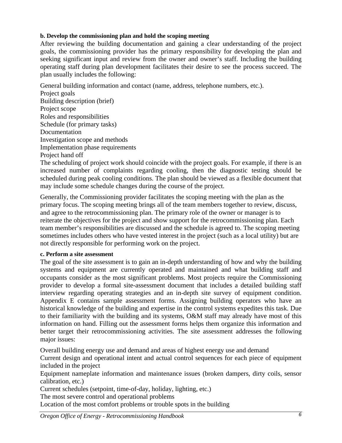## **b. Develop the commissioning plan and hold the scoping meeting**

After reviewing the building documentation and gaining a clear understanding of the project goals, the commissioning provider has the primary responsibility for developing the plan and seeking significant input and review from the owner and owner's staff. Including the building operating staff during plan development facilitates their desire to see the process succeed. The plan usually includes the following:

General building information and contact (name, address, telephone numbers, etc.).

Project goals Building description (brief) Project scope Roles and responsibilities Schedule (for primary tasks) Documentation Investigation scope and methods Implementation phase requirements Project hand off

The scheduling of project work should coincide with the project goals. For example, if there is an increased number of complaints regarding cooling, then the diagnostic testing should be scheduled during peak cooling conditions. The plan should be viewed as a flexible document that may include some schedule changes during the course of the project.

Generally, the Commissioning provider facilitates the scoping meeting with the plan as the primary focus. The scoping meeting brings all of the team members together to review, discuss, and agree to the retrocommissioning plan. The primary role of the owner or manager is to reiterate the objectives for the project and show support for the retrocommissioning plan. Each team member's responsibilities are discussed and the schedule is agreed to. The scoping meeting sometimes includes others who have vested interest in the project (such as a local utility) but are not directly responsible for performing work on the project.

## **c. Perform a site assessment**

The goal of the site assessment is to gain an in-depth understanding of how and why the building systems and equipment are currently operated and maintained and what building staff and occupants consider as the most significant problems. Most projects require the Commissioning provider to develop a formal site-assessment document that includes a detailed building staff interview regarding operating strategies and an in-depth site survey of equipment condition. Appendix E contains sample assessment forms. Assigning building operators who have an historical knowledge of the building and expertise in the control systems expedites this task. Due to their familiarity with the building and its systems, O&M staff may already have most of this information on hand. Filling out the assessment forms helps them organize this information and better target their retrocommissioning activities. The site assessment addresses the following major issues:

Overall building energy use and demand and areas of highest energy use and demand

Current design and operational intent and actual control sequences for each piece of equipment included in the project

Equipment nameplate information and maintenance issues (broken dampers, dirty coils, sensor calibration, etc.)

Current schedules (setpoint, time-of-day, holiday, lighting, etc.)

The most severe control and operational problems

Location of the most comfort problems or trouble spots in the building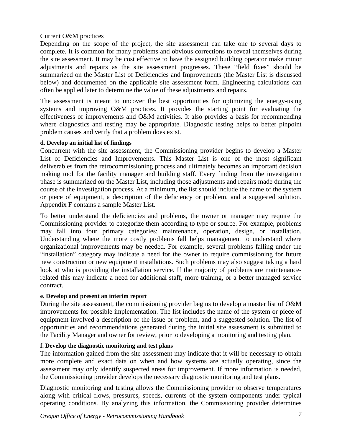## Current O&M practices

Depending on the scope of the project, the site assessment can take one to several days to complete. It is common for many problems and obvious corrections to reveal themselves during the site assessment. It may be cost effective to have the assigned building operator make minor adjustments and repairs as the site assessment progresses. These "field fixes" should be summarized on the Master List of Deficiencies and Improvements (the Master List is discussed below) and documented on the applicable site assessment form. Engineering calculations can often be applied later to determine the value of these adjustments and repairs.

The assessment is meant to uncover the best opportunities for optimizing the energy-using systems and improving O&M practices. It provides the starting point for evaluating the effectiveness of improvements and O&M activities. It also provides a basis for recommending where diagnostics and testing may be appropriate. Diagnostic testing helps to better pinpoint problem causes and verify that a problem does exist.

## **d. Develop an initial list of findings**

Concurrent with the site assessment, the Commissioning provider begins to develop a Master List of Deficiencies and Improvements. This Master List is one of the most significant deliverables from the retrocommissioning process and ultimately becomes an important decision making tool for the facility manager and building staff. Every finding from the investigation phase is summarized on the Master List, including those adjustments and repairs made during the course of the investigation process. At a minimum, the list should include the name of the system or piece of equipment, a description of the deficiency or problem, and a suggested solution. Appendix F contains a sample Master List.

To better understand the deficiencies and problems, the owner or manager may require the Commissioning provider to categorize them according to type or source. For example, problems may fall into four primary categories: maintenance, operation, design, or installation. Understanding where the more costly problems fall helps management to understand where organizational improvements may be needed. For example, several problems falling under the "installation" category may indicate a need for the owner to require commissioning for future new construction or new equipment installations. Such problems may also suggest taking a hard look at who is providing the installation service. If the majority of problems are maintenancerelated this may indicate a need for additional staff, more training, or a better managed service contract.

## **e. Develop and present an interim report**

During the site assessment, the commissioning provider begins to develop a master list of O&M improvements for possible implementation. The list includes the name of the system or piece of equipment involved a description of the issue or problem, and a suggested solution. The list of opportunities and recommendations generated during the initial site assessment is submitted to the Facility Manager and owner for review, prior to developing a monitoring and testing plan.

## **f. Develop the diagnostic monitoring and test plans**

The information gained from the site assessment may indicate that it will be necessary to obtain more complete and exact data on when and how systems are actually operating, since the assessment may only identify suspected areas for improvement. If more information is needed, the Commissioning provider develops the necessary diagnostic monitoring and test plans.

Diagnostic monitoring and testing allows the Commissioning provider to observe temperatures along with critical flows, pressures, speeds, currents of the system components under typical operating conditions. By analyzing this information, the Commissioning provider determines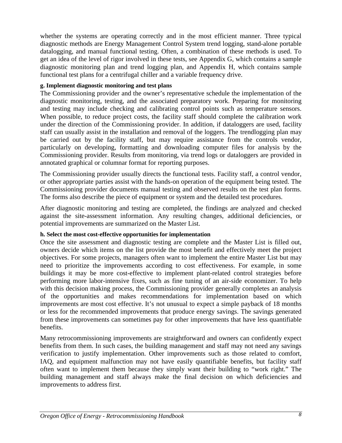whether the systems are operating correctly and in the most efficient manner. Three typical diagnostic methods are Energy Management Control System trend logging, stand-alone portable datalogging, and manual functional testing. Often, a combination of these methods is used. To get an idea of the level of rigor involved in these tests, see Appendix G, which contains a sample diagnostic monitoring plan and trend logging plan, and Appendix H, which contains sample functional test plans for a centrifugal chiller and a variable frequency drive.

### **g. Implement diagnostic monitoring and test plans**

The Commissioning provider and the owner's representative schedule the implementation of the diagnostic monitoring, testing, and the associated preparatory work. Preparing for monitoring and testing may include checking and calibrating control points such as temperature sensors. When possible, to reduce project costs, the facility staff should complete the calibration work under the direction of the Commissioning provider. In addition, if dataloggers are used, facility staff can usually assist in the installation and removal of the loggers. The trendlogging plan may be carried out by the facility staff, but may require assistance from the controls vendor, particularly on developing, formatting and downloading computer files for analysis by the Commissioning provider. Results from monitoring, via trend logs or dataloggers are provided in annotated graphical or columnar format for reporting purposes.

The Commissioning provider usually directs the functional tests. Facility staff, a control vendor, or other appropriate parties assist with the hands-on operation of the equipment being tested. The Commissioning provider documents manual testing and observed results on the test plan forms. The forms also describe the piece of equipment or system and the detailed test procedures.

After diagnostic monitoring and testing are completed, the findings are analyzed and checked against the site-assessment information. Any resulting changes, additional deficiencies, or potential improvements are summarized on the Master List.

#### **h. Select the most cost-effective opportunities for implementation**

Once the site assessment and diagnostic testing are complete and the Master List is filled out, owners decide which items on the list provide the most benefit and effectively meet the project objectives. For some projects, managers often want to implement the entire Master List but may need to prioritize the improvements according to cost effectiveness. For example, in some buildings it may be more cost-effective to implement plant-related control strategies before performing more labor-intensive fixes, such as fine tuning of an air-side economizer. To help with this decision making process, the Commissioning provider generally completes an analysis of the opportunities and makes recommendations for implementation based on which improvements are most cost effective. It's not unusual to expect a simple payback of 18 months or less for the recommended improvements that produce energy savings. The savings generated from these improvements can sometimes pay for other improvements that have less quantifiable benefits.

Many retrocommissioning improvements are straightforward and owners can confidently expect benefits from them. In such cases, the building management and staff may not need any savings verification to justify implementation. Other improvements such as those related to comfort, IAQ, and equipment malfunction may not have easily quantifiable benefits, but facility staff often want to implement them because they simply want their building to "work right." The building management and staff always make the final decision on which deficiencies and improvements to address first.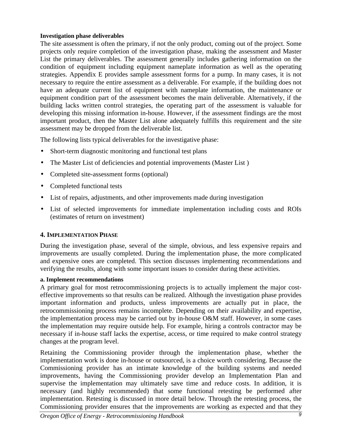## **Investigation phase deliverables**

The site assessment is often the primary, if not the only product, coming out of the project. Some projects only require completion of the investigation phase, making the assessment and Master List the primary deliverables. The assessment generally includes gathering information on the condition of equipment including equipment nameplate information as well as the operating strategies. Appendix E provides sample assessment forms for a pump. In many cases, it is not necessary to require the entire assessment as a deliverable. For example, if the building does not have an adequate current list of equipment with nameplate information, the maintenance or equipment condition part of the assessment becomes the main deliverable. Alternatively, if the building lacks written control strategies, the operating part of the assessment is valuable for developing this missing information in-house. However, if the assessment findings are the most important product, then the Master List alone adequately fulfills this requirement and the site assessment may be dropped from the deliverable list.

The following lists typical deliverables for the investigative phase:

- Short-term diagnostic monitoring and functional test plans
- The Master List of deficiencies and potential improvements (Master List)
- Completed site-assessment forms (optional)
- Completed functional tests
- List of repairs, adjustments, and other improvements made during investigation
- List of selected improvements for immediate implementation including costs and ROIs (estimates of return on investment)

## **4. IMPLEMENTATION PHASE**

During the investigation phase, several of the simple, obvious, and less expensive repairs and improvements are usually completed. During the implementation phase, the more complicated and expensive ones are completed. This section discusses implementing recommendations and verifying the results, along with some important issues to consider during these activities.

## **a. Implement recommendations**

A primary goal for most retrocommissioning projects is to actually implement the major costeffective improvements so that results can be realized. Although the investigation phase provides important information and products, unless improvements are actually put in place, the retrocommissioning process remains incomplete. Depending on their availability and expertise, the implementation process may be carried out by in-house O&M staff. However, in some cases the implementation may require outside help. For example, hiring a controls contractor may be necessary if in-house staff lacks the expertise, access, or time required to make control strategy changes at the program level.

Retaining the Commissioning provider through the implementation phase, whether the implementation work is done in-house or outsourced, is a choice worth considering. Because the Commissioning provider has an intimate knowledge of the building systems and needed improvements, having the Commissioning provider develop an Implementation Plan and supervise the implementation may ultimately save time and reduce costs. In addition, it is necessary (and highly recommended) that some functional retesting be performed after implementation. Retesting is discussed in more detail below. Through the retesting process, the Commissioning provider ensures that the improvements are working as expected and that they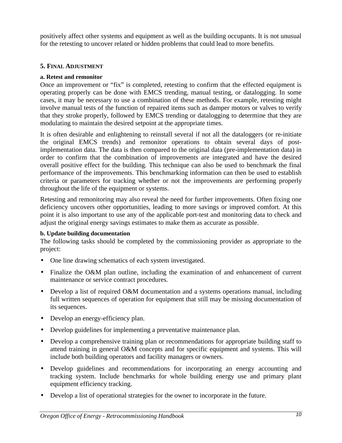positively affect other systems and equipment as well as the building occupants. It is not unusual for the retesting to uncover related or hidden problems that could lead to more benefits.

## **5. FINAL ADJUSTMENT**

## **a. Retest and remonitor**

Once an improvement or "fix" is completed, retesting to confirm that the effected equipment is operating properly can be done with EMCS trending, manual testing, or datalogging. In some cases, it may be necessary to use a combination of these methods. For example, retesting might involve manual tests of the function of repaired items such as damper motors or valves to verify that they stroke properly, followed by EMCS trending or datalogging to determine that they are modulating to maintain the desired setpoint at the appropriate times.

It is often desirable and enlightening to reinstall several if not all the dataloggers (or re-initiate the original EMCS trends) and remonitor operations to obtain several days of postimplementation data. The data is then compared to the original data (pre-implementation data) in order to confirm that the combination of improvements are integrated and have the desired overall positive effect for the building. This technique can also be used to benchmark the final performance of the improvements. This benchmarking information can then be used to establish criteria or parameters for tracking whether or not the improvements are performing properly throughout the life of the equipment or systems.

Retesting and remonitoring may also reveal the need for further improvements. Often fixing one deficiency uncovers other opportunities, leading to more savings or improved comfort. At this point it is also important to use any of the applicable port-test and monitoring data to check and adjust the original energy savings estimates to make them as accurate as possible.

## **b. Update building documentation**

The following tasks should be completed by the commissioning provider as appropriate to the project:

- One line drawing schematics of each system investigated.
- Finalize the O&M plan outline, including the examination of and enhancement of current maintenance or service contract procedures.
- Develop a list of required O&M documentation and a systems operations manual, including full written sequences of operation for equipment that still may be missing documentation of its sequences.
- Develop an energy-efficiency plan.
- Develop guidelines for implementing a preventative maintenance plan.
- Develop a comprehensive training plan or recommendations for appropriate building staff to attend training in general O&M concepts and for specific equipment and systems. This will include both building operators and facility managers or owners.
- Develop guidelines and recommendations for incorporating an energy accounting and tracking system. Include benchmarks for whole building energy use and primary plant equipment efficiency tracking.
- Develop a list of operational strategies for the owner to incorporate in the future.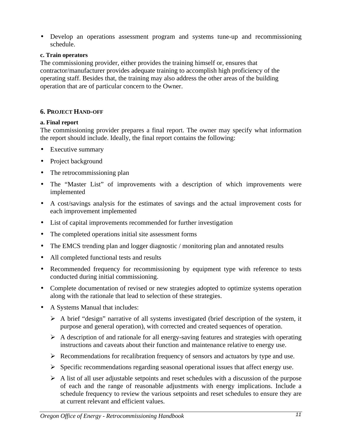• Develop an operations assessment program and systems tune-up and recommissioning schedule.

## **c. Train operators**

The commissioning provider, either provides the training himself or, ensures that contractor/manufacturer provides adequate training to accomplish high proficiency of the operating staff. Besides that, the training may also address the other areas of the building operation that are of particular concern to the Owner.

## **6. PROJECT HAND-OFF**

#### **a. Final report**

The commissioning provider prepares a final report. The owner may specify what information the report should include. Ideally, the final report contains the following:

- Executive summary
- Project background
- The retrocommissioning plan
- The "Master List" of improvements with a description of which improvements were implemented
- A cost/savings analysis for the estimates of savings and the actual improvement costs for each improvement implemented
- List of capital improvements recommended for further investigation
- The completed operations initial site assessment forms
- The EMCS trending plan and logger diagnostic / monitoring plan and annotated results
- All completed functional tests and results
- Recommended frequency for recommissioning by equipment type with reference to tests conducted during initial commissioning.
- Complete documentation of revised or new strategies adopted to optimize systems operation along with the rationale that lead to selection of these strategies.
- A Systems Manual that includes:
	- $\triangleright$  A brief "design" narrative of all systems investigated (brief description of the system, it purpose and general operation), with corrected and created sequences of operation.
	- $\triangleright$  A description of and rationale for all energy-saving features and strategies with operating instructions and caveats about their function and maintenance relative to energy use.
	- $\triangleright$  Recommendations for recalibration frequency of sensors and actuators by type and use.
	- $\triangleright$  Specific recommendations regarding seasonal operational issues that affect energy use.
	- $\triangleright$  A list of all user adjustable setpoints and reset schedules with a discussion of the purpose of each and the range of reasonable adjustments with energy implications. Include a schedule frequency to review the various setpoints and reset schedules to ensure they are at current relevant and efficient values.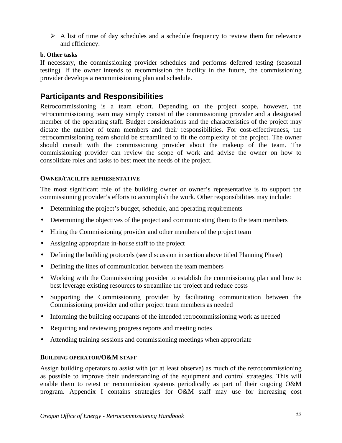$\triangleright$  A list of time of day schedules and a schedule frequency to review them for relevance and efficiency.

## **b. Other tasks**

If necessary, the commissioning provider schedules and performs deferred testing (seasonal testing). If the owner intends to recommission the facility in the future, the commissioning provider develops a recommissioning plan and schedule.

## **Participants and Responsibilities**

Retrocommissioning is a team effort. Depending on the project scope, however, the retrocommissioning team may simply consist of the commissioning provider and a designated member of the operating staff. Budget considerations and the characteristics of the project may dictate the number of team members and their responsibilities. For cost-effectiveness, the retrocommissioning team should be streamlined to fit the complexity of the project. The owner should consult with the commissioning provider about the makeup of the team. The commissioning provider can review the scope of work and advise the owner on how to consolidate roles and tasks to best meet the needs of the project.

### **OWNER/FACILITY REPRESENTATIVE**

The most significant role of the building owner or owner's representative is to support the commissioning provider's efforts to accomplish the work. Other responsibilities may include:

- Determining the project's budget, schedule, and operating requirements
- Determining the objectives of the project and communicating them to the team members
- Hiring the Commissioning provider and other members of the project team
- Assigning appropriate in-house staff to the project
- Defining the building protocols (see discussion in section above titled Planning Phase)
- Defining the lines of communication between the team members
- Working with the Commissioning provider to establish the commissioning plan and how to best leverage existing resources to streamline the project and reduce costs
- Supporting the Commissioning provider by facilitating communication between the Commissioning provider and other project team members as needed
- Informing the building occupants of the intended retrocommissioning work as needed
- Requiring and reviewing progress reports and meeting notes
- Attending training sessions and commissioning meetings when appropriate

#### **BUILDING OPERATOR/O&M STAFF**

Assign building operators to assist with (or at least observe) as much of the retrocommissioning as possible to improve their understanding of the equipment and control strategies. This will enable them to retest or recommission systems periodically as part of their ongoing O&M program. Appendix I contains strategies for O&M staff may use for increasing cost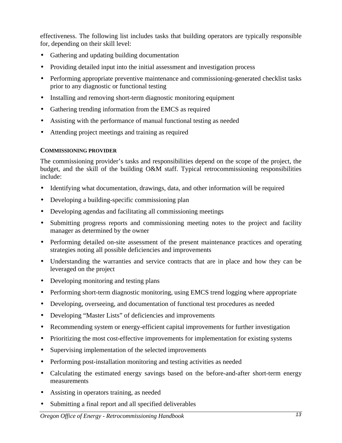effectiveness. The following list includes tasks that building operators are typically responsible for, depending on their skill level:

- Gathering and updating building documentation
- Providing detailed input into the initial assessment and investigation process
- Performing appropriate preventive maintenance and commissioning-generated checklist tasks prior to any diagnostic or functional testing
- Installing and removing short-term diagnostic monitoring equipment
- Gathering trending information from the EMCS as required
- Assisting with the performance of manual functional testing as needed
- Attending project meetings and training as required

## **COMMISSIONING PROVIDER**

The commissioning provider's tasks and responsibilities depend on the scope of the project, the budget, and the skill of the building O&M staff. Typical retrocommissioning responsibilities include:

- Identifying what documentation, drawings, data, and other information will be required
- Developing a building-specific commissioning plan
- Developing agendas and facilitating all commissioning meetings
- Submitting progress reports and commissioning meeting notes to the project and facility manager as determined by the owner
- Performing detailed on-site assessment of the present maintenance practices and operating strategies noting all possible deficiencies and improvements
- Understanding the warranties and service contracts that are in place and how they can be leveraged on the project
- Developing monitoring and testing plans
- Performing short-term diagnostic monitoring, using EMCS trend logging where appropriate
- Developing, overseeing, and documentation of functional test procedures as needed
- Developing "Master Lists" of deficiencies and improvements
- Recommending system or energy-efficient capital improvements for further investigation
- Prioritizing the most cost-effective improvements for implementation for existing systems
- Supervising implementation of the selected improvements
- Performing post-installation monitoring and testing activities as needed
- Calculating the estimated energy savings based on the before-and-after short-term energy measurements
- Assisting in operators training, as needed
- Submitting a final report and all specified deliverables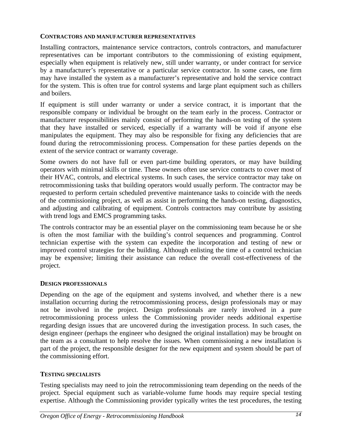#### **CONTRACTORS AND MANUFACTURER REPRESENTATIVES**

Installing contractors, maintenance service contractors, controls contractors, and manufacturer representatives can be important contributors to the commissioning of existing equipment, especially when equipment is relatively new, still under warranty, or under contract for service by a manufacturer's representative or a particular service contractor. In some cases, one firm may have installed the system as a manufacturer's representative and hold the service contract for the system. This is often true for control systems and large plant equipment such as chillers and boilers.

If equipment is still under warranty or under a service contract, it is important that the responsible company or individual be brought on the team early in the process. Contractor or manufacturer responsibilities mainly consist of performing the hands-on testing of the system that they have installed or serviced, especially if a warranty will be void if anyone else manipulates the equipment. They may also be responsible for fixing any deficiencies that are found during the retrocommissioning process. Compensation for these parties depends on the extent of the service contract or warranty coverage.

Some owners do not have full or even part-time building operators, or may have building operators with minimal skills or time. These owners often use service contracts to cover most of their HVAC, controls, and electrical systems. In such cases, the service contractor may take on retrocommissioning tasks that building operators would usually perform. The contractor may be requested to perform certain scheduled preventive maintenance tasks to coincide with the needs of the commissioning project, as well as assist in performing the hands-on testing, diagnostics, and adjusting and calibrating of equipment. Controls contractors may contribute by assisting with trend logs and EMCS programming tasks.

The controls contractor may be an essential player on the commissioning team because he or she is often the most familiar with the building's control sequences and programming. Control technician expertise with the system can expedite the incorporation and testing of new or improved control strategies for the building. Although enlisting the time of a control technician may be expensive; limiting their assistance can reduce the overall cost-effectiveness of the project.

## **DESIGN PROFESSIONALS**

Depending on the age of the equipment and systems involved, and whether there is a new installation occurring during the retrocommissioning process, design professionals may or may not be involved in the project. Design professionals are rarely involved in a pure retrocommissioning process unless the Commissioning provider needs additional expertise regarding design issues that are uncovered during the investigation process. In such cases, the design engineer (perhaps the engineer who designed the original installation) may be brought on the team as a consultant to help resolve the issues. When commissioning a new installation is part of the project, the responsible designer for the new equipment and system should be part of the commissioning effort.

## **TESTING SPECIALISTS**

Testing specialists may need to join the retrocommissioning team depending on the needs of the project. Special equipment such as variable-volume fume hoods may require special testing expertise. Although the Commissioning provider typically writes the test procedures, the testing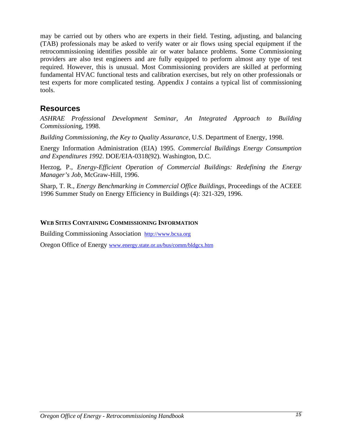may be carried out by others who are experts in their field. Testing, adjusting, and balancing (TAB) professionals may be asked to verify water or air flows using special equipment if the retrocommissioning identifies possible air or water balance problems. Some Commissioning providers are also test engineers and are fully equipped to perform almost any type of test required. However, this is unusual. Most Commissioning providers are skilled at performing fundamental HVAC functional tests and calibration exercises, but rely on other professionals or test experts for more complicated testing. Appendix J contains a typical list of commissioning tools.

## **Resources**

*ASHRAE Professional Development Seminar, An Integrated Approach to Building Commissionin*g, 1998.

*Building Commissioning, the Key to Quality Assurance*, U.S. Department of Energy, 1998.

Energy Information Administration (EIA) 1995. *Commercial Buildings Energy Consumption and Expenditures 1992*. DOE/EIA-0318(92). Washington, D.C.

Herzog, P., *Energy-Efficient Operation of Commercial Buildings: Redefining the Energy Manager's Job*, McGraw-Hill, 1996.

Sharp, T. R., *Energy Benchmarking in Commercial Office Buildings*, Proceedings of the ACEEE 1996 Summer Study on Energy Efficiency in Buildings (4): 321-329, 1996.

## **WEB SITES CONTAINING COMMISSIONING INFORMATION**

Building Commissioning Association http://www.bcxa.org

Oregon Office of Energy www.energy.state.or.us/bus/comm/bldgcx.htm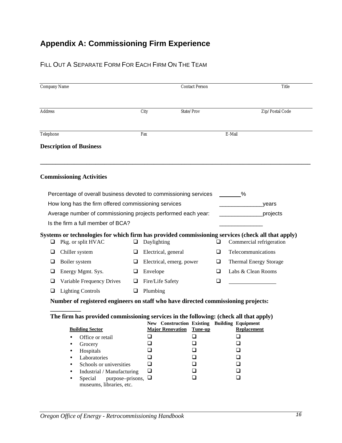# **Appendix A: Commissioning Firm Experience**

## FILL OUT A SEPARATE FORM FOR EACH FIRM ON THE TEAM

| Company Name   |                                                                                       |   |                                                                                             | <b>Contact Person</b> |    | Title                                                                                             |
|----------------|---------------------------------------------------------------------------------------|---|---------------------------------------------------------------------------------------------|-----------------------|----|---------------------------------------------------------------------------------------------------|
| <b>Address</b> |                                                                                       |   | City                                                                                        | State/Prov            |    | Zip/Postal Code                                                                                   |
| Telephone      |                                                                                       |   | Fax                                                                                         |                       |    | E-Mail                                                                                            |
|                | <b>Description of Business</b>                                                        |   |                                                                                             |                       |    |                                                                                                   |
|                | <b>Commissioning Activities</b>                                                       |   |                                                                                             |                       |    |                                                                                                   |
|                | Percentage of overall business devoted to commissioning services                      |   |                                                                                             |                       |    | $\%$                                                                                              |
|                | How long has the firm offered commissioning services                                  |   |                                                                                             |                       |    | years                                                                                             |
|                | Average number of commissioning projects performed each year:                         |   |                                                                                             |                       |    | projects                                                                                          |
|                | Is the firm a full member of BCA?                                                     |   |                                                                                             |                       |    |                                                                                                   |
|                |                                                                                       |   |                                                                                             |                       |    | Systems or technologies for which firm has provided commissioning services (check all that apply) |
| ⊔              | Pkg. or split HVAC                                                                    | ❏ | Daylighting                                                                                 |                       | u  | Commercial refrigeration                                                                          |
| ⊔              | Chiller system                                                                        | u | Electrical, general                                                                         |                       | ❏  | Telecommunications                                                                                |
| ⊔              | Boiler system                                                                         | ⊔ | Electrical, emerg. power                                                                    |                       | ⊔  | <b>Thermal Energy Storage</b>                                                                     |
| u              | Energy Mgmt. Sys.                                                                     | ⊔ | Envelope                                                                                    |                       | O. | Labs & Clean Rooms                                                                                |
| ⊔              | Variable Frequency Drives                                                             | □ | Fire/Life Safety                                                                            |                       | ❏  |                                                                                                   |
|                | <b>Lighting Controls</b>                                                              | □ | Plumbing                                                                                    |                       |    |                                                                                                   |
|                | Number of registered engineers on staff who have directed commissioning projects:     |   |                                                                                             |                       |    |                                                                                                   |
|                |                                                                                       |   |                                                                                             |                       |    |                                                                                                   |
|                | The firm has provided commissioning services in the following: (check all that apply) |   |                                                                                             |                       |    |                                                                                                   |
|                | <b>Building Sector</b>                                                                |   | New Construction Existing Building Equipment<br><b>Major Renovation Tune-up Replacement</b> |                       |    |                                                                                                   |
|                | Office or retail                                                                      |   | ❏                                                                                           | $\Box$                |    | $\Box$                                                                                            |
|                | Grocery                                                                               |   | ❏                                                                                           | $\Box$                |    | $\Box$                                                                                            |
|                | Hospitals                                                                             |   | ப                                                                                           | ❏                     |    | $\Box$                                                                                            |
|                | Laboratories                                                                          |   | ப                                                                                           | ❏                     |    | $\Box$                                                                                            |
|                | Schools or universities<br>Industrial / Manufacturing                                 |   | ❏<br>$\Box$                                                                                 | ❏<br>❏                |    | $\Box$<br>$\Box$                                                                                  |
|                | purpose-prisons, $\Box$<br>Special                                                    |   |                                                                                             | ❏                     |    | $\Box$                                                                                            |
|                | museums, libraries, etc.                                                              |   |                                                                                             |                       |    |                                                                                                   |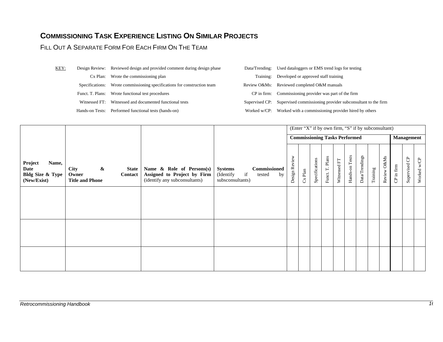# **COMMISSIONING TASK EXPERIENCE LISTING ON SIMILAR PROJECTS**

## FILL OUT A SEPARATE FORM FOR EACH FIRM ON THE TEAM

| KEY: |                 | Design Review: Reviewed design and provided comment during design phase | Data/Trending: | Used dataloggers or EMS trend logs for testing              |
|------|-----------------|-------------------------------------------------------------------------|----------------|-------------------------------------------------------------|
|      |                 | Cx Plan: Wrote the commissioning plan                                   | Training:      | Developed or approved staff training                        |
|      | Specifications: | Wrote commissioning specifications for construction team                |                | Review O&Ms: Reviewed completed O&M manuals                 |
|      |                 | Funct. T. Plans: Wrote functional test procedures                       |                | CP in firm: Commissioning provider was part of the firm     |
|      | Witnessed FT:   | Witnessed and documented functional tests                               | Supervised CP: | Supervised commissioning provider subconsultant to the firm |
|      |                 | Hands-on Tests: Performed functional tests (hands-on)                   | Worked w/CP:   | Worked with a commissioning provider hired by others        |

|                                                                        |                                                                                                |                                                                                           |                                                                                              |               | (Enter "X" if by own firm, "S" if by subconsultant) |                |                 |              |                |                |          |             |            |                   |             |
|------------------------------------------------------------------------|------------------------------------------------------------------------------------------------|-------------------------------------------------------------------------------------------|----------------------------------------------------------------------------------------------|---------------|-----------------------------------------------------|----------------|-----------------|--------------|----------------|----------------|----------|-------------|------------|-------------------|-------------|
|                                                                        |                                                                                                |                                                                                           |                                                                                              |               | <b>Commissioning Tasks Performed</b>                |                |                 |              |                |                |          |             |            | <b>Management</b> |             |
| Project<br>Name,<br>Date<br><b>Bldg Size &amp; Type</b><br>(New/Exist) | $\boldsymbol{\&}$<br><b>City</b><br><b>State</b><br>Owner<br>Contact<br><b>Title and Phone</b> | Name & Role of Persons(s)<br>Assigned to Project by Firm<br>(identify any subconsultants) | <b>Commissioned</b><br><b>Systems</b><br>if<br>(Identify<br>tested<br>by<br>subsconsultants) | Design Review | $Cx$ Plan                                           | Specifications | Funct. T. Plans | Witnessed FT | Hands-on Tests | Data/Trendings | Training | Review O&Ms | CP in firm | Supervised CP     | Worked w/CP |
|                                                                        |                                                                                                |                                                                                           |                                                                                              |               |                                                     |                |                 |              |                |                |          |             |            |                   |             |
|                                                                        |                                                                                                |                                                                                           |                                                                                              |               |                                                     |                |                 |              |                |                |          |             |            |                   |             |
|                                                                        |                                                                                                |                                                                                           |                                                                                              |               |                                                     |                |                 |              |                |                |          |             |            |                   |             |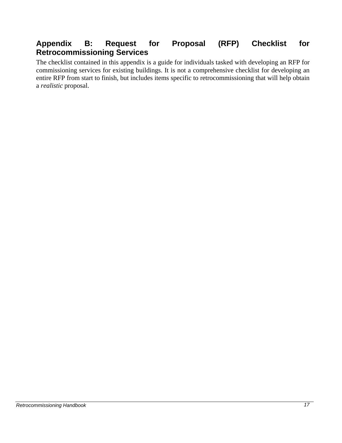## **Appendix B: Request for Proposal (RFP) Checklist for Retrocommissioning Services**

The checklist contained in this appendix is a guide for individuals tasked with developing an RFP for commissioning services for existing buildings. It is not a comprehensive checklist for developing an entire RFP from start to finish, but includes items specific to retrocommissioning that will help obtain a *realistic* proposal.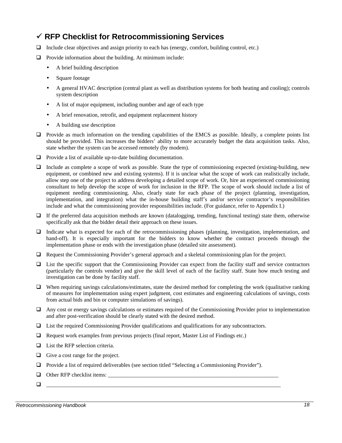## **¸ RFP Checklist for Retrocommissioning Services**

- $\Box$  Include clear objectives and assign priority to each has (energy, comfort, building control, etc.)
- $\Box$  Provide information about the building. At minimum include:
	- A brief building description
	- Square footage
	- A general HVAC description (central plant as well as distribution systems for both heating and cooling); controls system description
	- A list of major equipment, including number and age of each type
	- A brief renovation, retrofit, and equipment replacement history
	- A building use description
- $\Box$  Provide as much information on the trending capabilities of the EMCS as possible. Ideally, a complete points list should be provided. This increases the bidders' ability to more accurately budget the data acquisition tasks. Also, state whether the system can be accessed remotely (by modem).
- $\Box$  Provide a list of available up-to-date building documentation.
- $\Box$  Include as complete a scope of work as possible. State the type of commissioning expected (existing-building, new equipment, or combined new and existing systems). If it is unclear what the scope of work can realistically include, allow step one of the project to address developing a detailed scope of work. Or, hire an experienced commissioning consultant to help develop the scope of work for inclusion in the RFP. The scope of work should include a list of equipment needing commissioning. Also, clearly state for each phase of the project (planning, investigation, implementation, and integration) what the in-house building staff's and/or service contractor's responsibilities include and what the commissioning provider responsibilities include. (For guidance, refer to Appendix I.)
- $\Box$  If the preferred data acquisition methods are known (datalogging, trending, functional testing) state them, otherwise specifically ask that the bidder detail their approach on these issues.
- $\Box$  Indicate what is expected for each of the retrocommissioning phases (planning, investigation, implementation, and hand-off). It is especially important for the bidders to know whether the contract proceeds through the implementation phase or ends with the investigation phase (detailed site assessment).
- $\Box$  Request the Commissioning Provider's general approach and a skeletal commissioning plan for the project.
- $\Box$  List the specific support that the Commissioning Provider can expect from the facility staff and service contractors (particularly the controls vendor) and give the skill level of each of the facility staff. State how much testing and investigation can be done by facility staff.
- $\Box$  When requiring savings calculations/estimates, state the desired method for completing the work (qualitative ranking of measures for implementation using expert judgment, cost estimates and engineering calculations of savings, costs from actual bids and bin or computer simulations of savings).
- $\Box$  Any cost or energy savings calculations or estimates required of the Commissioning Provider prior to implementation and after post-verification should be clearly stated with the desired method.
- $\Box$  List the required Commissioning Provider qualifications and qualifications for any subcontractors.
- $\Box$  Request work examples from previous projects (final report, Master List of Findings etc.)
- $\Box$  List the RFP selection criteria.
- $\Box$  Give a cost range for the project.
- □ Provide a list of required deliverables (see section titled "Selecting a Commissioning Provider").
- $\Box$  Other RFP checklist items:
- q \_\_\_\_\_\_\_\_\_\_\_\_\_\_\_\_\_\_\_\_\_\_\_\_\_\_\_\_\_\_\_\_\_\_\_\_\_\_\_\_\_\_\_\_\_\_\_\_\_\_\_\_\_\_\_\_\_\_\_\_\_\_\_\_\_\_\_\_\_\_\_\_\_\_\_\_\_\_\_\_\_\_\_\_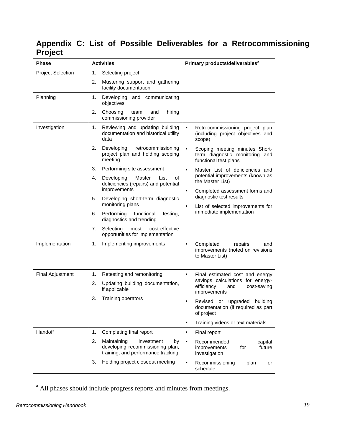# **Appendix C: List of Possible Deliverables for a Retrocommissioning Project**

| <b>Phase</b>             | <b>Activities</b>                                                                                               | Primary products/deliverables <sup>a</sup>                                                             |  |  |  |  |
|--------------------------|-----------------------------------------------------------------------------------------------------------------|--------------------------------------------------------------------------------------------------------|--|--|--|--|
| <b>Project Selection</b> | 1.<br>Selecting project                                                                                         |                                                                                                        |  |  |  |  |
|                          | 2.<br>Mustering support and gathering<br>facility documentation                                                 |                                                                                                        |  |  |  |  |
| Planning                 | Developing and communicating<br>1.<br>objectives                                                                |                                                                                                        |  |  |  |  |
|                          | 2.<br>Choosing<br>team<br>and<br>hiring<br>commissioning provider                                               |                                                                                                        |  |  |  |  |
| Investigation            | Reviewing and updating building<br>1.<br>documentation and historical utility<br>data                           | Retrocommissioning project plan<br>(including project objectives and<br>scope)                         |  |  |  |  |
|                          | 2.<br>Developing<br>retrocommissioning<br>project plan and holding scoping<br>meeting                           | Scoping meeting minutes Short-<br>$\bullet$<br>term diagnostic monitoring and<br>functional test plans |  |  |  |  |
|                          | 3.<br>Performing site assessment                                                                                | Master List of deficiencies and<br>$\bullet$                                                           |  |  |  |  |
|                          | Master<br>4.<br>Developing<br>List<br>οf<br>deficiencies (repairs) and potential<br>improvements                | potential improvements (known as<br>the Master List)                                                   |  |  |  |  |
|                          | 5.<br>Developing short-term diagnostic                                                                          | Completed assessment forms and<br>$\bullet$<br>diagnostic test results                                 |  |  |  |  |
|                          | monitoring plans                                                                                                | List of selected improvements for<br>$\bullet$                                                         |  |  |  |  |
|                          | Performing<br>functional<br>6.<br>testing,<br>diagnostics and trending                                          | immediate implementation                                                                               |  |  |  |  |
|                          | 7.<br>Selecting<br>most<br>cost-effective<br>opportunities for implementation                                   |                                                                                                        |  |  |  |  |
| Implementation           | 1.<br>Implementing improvements                                                                                 | Completed<br>repairs<br>and<br>$\bullet$<br>improvements (noted on revisions<br>to Master List)        |  |  |  |  |
| <b>Final Adjustment</b>  | Retesting and remonitoring<br>1.                                                                                | Final estimated cost and energy<br>$\bullet$                                                           |  |  |  |  |
|                          | 2.<br>Updating building documentation,<br>if applicable                                                         | savings calculations for energy-<br>efficiency<br>and<br>cost-saving<br>improvements                   |  |  |  |  |
|                          | 3.<br>Training operators                                                                                        | Revised or upgraded building<br>٠<br>documentation (if required as part<br>of project                  |  |  |  |  |
|                          |                                                                                                                 | Training videos or text materials<br>٠                                                                 |  |  |  |  |
| Handoff                  | Completing final report<br>1.                                                                                   | Final report<br>٠                                                                                      |  |  |  |  |
|                          | 2.<br>Maintaining<br>investment<br>by<br>developing recommissioning plan,<br>training, and performance tracking | Recommended<br>capital<br>$\bullet$<br>future<br>improvements<br>for<br>investigation                  |  |  |  |  |
|                          | Holding project closeout meeting<br>3.                                                                          | Recommissioning<br>plan<br>$\bullet$<br>or<br>schedule                                                 |  |  |  |  |

<sup>a</sup> All phases should include progress reports and minutes from meetings.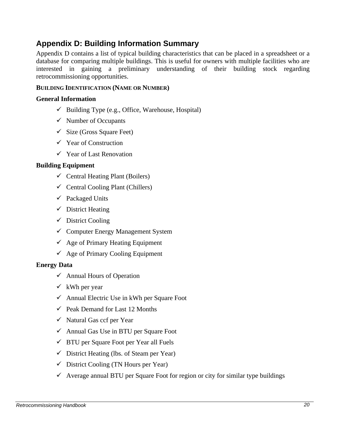# **Appendix D: Building Information Summary**

Appendix D contains a list of typical building characteristics that can be placed in a spreadsheet or a database for comparing multiple buildings. This is useful for owners with multiple facilities who are interested in gaining a preliminary understanding of their building stock regarding retrocommissioning opportunities.

## **BUILDING IDENTIFICATION (NAME OR NUMBER)**

#### **General Information**

- $\checkmark$  Building Type (e.g., Office, Warehouse, Hospital)
- $\checkmark$  Number of Occupants
- $\checkmark$  Size (Gross Square Feet)
- $\checkmark$  Year of Construction
- $\checkmark$  Year of Last Renovation

#### **Building Equipment**

- $\checkmark$  Central Heating Plant (Boilers)
- $\checkmark$  Central Cooling Plant (Chillers)
- $\checkmark$  Packaged Units
- $\checkmark$  District Heating
- $\checkmark$  District Cooling
- $\checkmark$  Computer Energy Management System
- $\checkmark$  Age of Primary Heating Equipment
- $\checkmark$  Age of Primary Cooling Equipment

#### **Energy Data**

- $\checkmark$  Annual Hours of Operation
- $\checkmark$  kWh per year
- $\checkmark$  Annual Electric Use in kWh per Square Foot
- $\checkmark$  Peak Demand for Last 12 Months
- $\checkmark$  Natural Gas ccf per Year
- $\checkmark$  Annual Gas Use in BTU per Square Foot
- $\checkmark$  BTU per Square Foot per Year all Fuels
- $\checkmark$  District Heating (lbs. of Steam per Year)
- $\checkmark$  District Cooling (TN Hours per Year)
- $\checkmark$  Average annual BTU per Square Foot for region or city for similar type buildings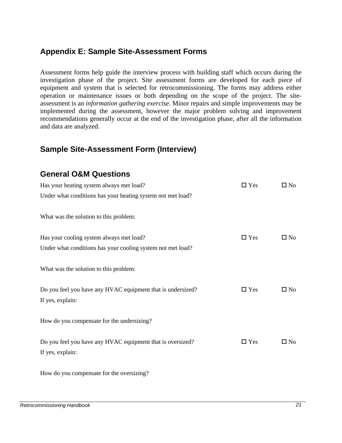## **Appendix E: Sample Site-Assessment Forms**

Assessment forms help guide the interview process with building staff which occurs during the investigation phase of the project. Site assessment forms are developed for each piece of equipment and system that is selected for retrocommissioning. The forms may address either operation or maintenance issues or both depending on the scope of the project. The siteassessment is an *information gathering exercise*. Minor repairs and simple improvements may be implemented during the assessment, however the major problem solving and improvement recommendations generally occur at the end of the investigation phase, after all the information and data are analyzed.

## **Sample Site-Assessment Form (Interview)**

## **General O&M Questions**

| Has your heating system always met load?                    | $\square$ Yes | $\square$ No |
|-------------------------------------------------------------|---------------|--------------|
| Under what conditions has your heating system not met load? |               |              |
|                                                             |               |              |
| What was the solution to this problem:                      |               |              |
|                                                             |               |              |
| Has your cooling system always met load?                    | $\Box$ Yes    | $\square$ No |
| Under what conditions has your cooling system not met load? |               |              |
|                                                             |               |              |
| What was the solution to this problem:                      |               |              |
|                                                             |               |              |
| Do you feel you have any HVAC equipment that is undersized? | $\Box$ Yes    | $\square$ No |
| If yes, explain:                                            |               |              |
|                                                             |               |              |
| How do you compensate for the undersizing?                  |               |              |
|                                                             |               |              |
| Do you feel you have any HVAC equipment that is oversized?  | $\Box$ Yes    | $\square$ No |
| If yes, explain:                                            |               |              |
|                                                             |               |              |
| How do you compensate for the oversizing?                   |               |              |

How do you compensate for the oversizing?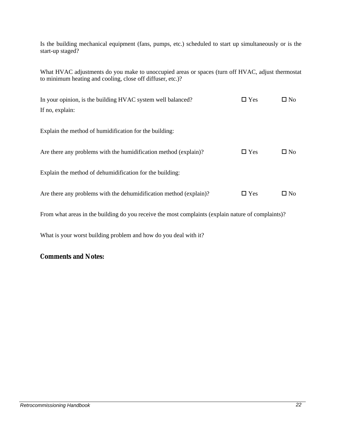Is the building mechanical equipment (fans, pumps, etc.) scheduled to start up simultaneously or is the start-up staged?

What HVAC adjustments do you make to unoccupied areas or spaces (turn off HVAC, adjust thermostat to minimum heating and cooling, close off diffuser, etc.)?

| $\Box$ Yes | $\square$ No |
|------------|--------------|
|            |              |
|            |              |
| $\Box$ Yes | $\square$ No |
|            |              |
| $\Box$ Yes | $\Box$ No    |
|            |              |

From what areas in the building do you receive the most complaints (explain nature of complaints)?

What is your worst building problem and how do you deal with it?

## **Comments and Notes:**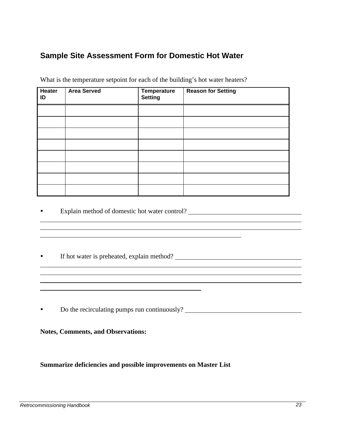## **Sample Site Assessment Form for Domestic Hot Water**

| Heater<br>ID | <b>Area Served</b> | Temperature<br><b>Setting</b> | <b>Reason for Setting</b> |
|--------------|--------------------|-------------------------------|---------------------------|
|              |                    |                               |                           |
|              |                    |                               |                           |
|              |                    |                               |                           |
|              |                    |                               |                           |
|              |                    |                               |                           |
|              |                    |                               |                           |
|              |                    |                               |                           |
|              |                    |                               |                           |

What is the temperature setpoint for each of the building's hot water heaters?

- Explain method of domestic hot water control? <u>[</u>[11] [21] [21] [21] [21] **Explain method of domestic hot water control? [21] [21] [21] <b>EXPLAINER**
- If hot water is preheated, explain method? \_\_\_\_\_\_\_\_\_\_\_\_\_\_\_\_\_\_\_\_\_\_\_\_\_\_\_\_\_\_\_\_\_\_\_
- Do the recirculating pumps run continuously?

**Notes, Comments, and Observations:**

**Summarize deficiencies and possible improvements on Master List**

 $\overline{a}$  $\overline{a}$  $\overline{a}$ 

 $\overline{a}$  $\overline{a}$  $\overline{a}$  $\overline{a}$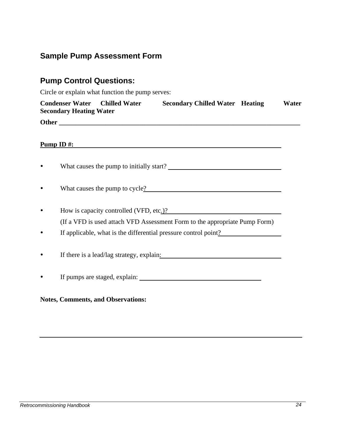# **Sample Pump Assessment Form**

# **Pump Control Questions:**

Circle or explain what function the pump serves:

| <b>Condenser Water Chilled Water</b><br><b>Secondary Chilled Water Heating</b><br><b>Secondary Heating Water</b>                          | Water |
|-------------------------------------------------------------------------------------------------------------------------------------------|-------|
|                                                                                                                                           |       |
|                                                                                                                                           |       |
| <b>Pump ID#:</b><br><u> 1989 - Johann John Stone, markin sanadi a shekara 1989 - An tsara 1989 - An tsara 1989 - An tsara 1989 - An t</u> |       |
|                                                                                                                                           |       |
| What causes the pump to cycle?                                                                                                            |       |
| How is capacity controlled (VFD, etc.)?                                                                                                   |       |
| (If a VFD is used attach VFD Assessment Form to the appropriate Pump Form)                                                                |       |
| If applicable, what is the differential pressure control point?                                                                           |       |
| If there is a lead/lag strategy, explain:                                                                                                 |       |
| If pumps are staged, explain:                                                                                                             |       |
|                                                                                                                                           |       |

## **Notes, Comments, and Observations:**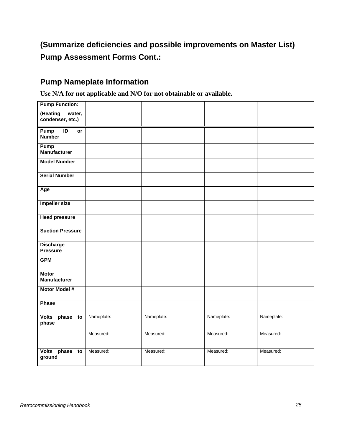# **(Summarize deficiencies and possible improvements on Master List) Pump Assessment Forms Cont.:**

## **Pump Nameplate Information**

**Use N/A for not applicable and N/O for not obtainable or available.**

| <b>Pump Function:</b>                          |            |            |            |            |
|------------------------------------------------|------------|------------|------------|------------|
| (Heating<br>water,<br>condenser, etc.)         |            |            |            |            |
|                                                |            |            |            |            |
| Pump<br>ID<br>$\overline{or}$<br><b>Number</b> |            |            |            |            |
| Pump<br>Manufacturer                           |            |            |            |            |
| <b>Model Number</b>                            |            |            |            |            |
| <b>Serial Number</b>                           |            |            |            |            |
| Age                                            |            |            |            |            |
| <b>Impeller size</b>                           |            |            |            |            |
| <b>Head pressure</b>                           |            |            |            |            |
| <b>Suction Pressure</b>                        |            |            |            |            |
| <b>Discharge</b><br><b>Pressure</b>            |            |            |            |            |
| <b>GPM</b>                                     |            |            |            |            |
| <b>Motor</b><br><b>Manufacturer</b>            |            |            |            |            |
| <b>Motor Model #</b>                           |            |            |            |            |
| <b>Phase</b>                                   |            |            |            |            |
| Volts phase to<br>phase                        | Nameplate: | Nameplate: | Nameplate: | Nameplate: |
|                                                | Measured:  | Measured:  | Measured:  | Measured:  |
| Volts phase<br>to<br>ground                    | Measured:  | Measured:  | Measured:  | Measured:  |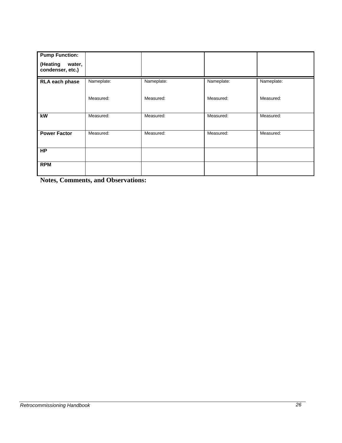| <b>Pump Function:</b><br>(Heating<br>water,<br>condenser, etc.) |            |            |            |            |
|-----------------------------------------------------------------|------------|------------|------------|------------|
| RLA each phase                                                  | Nameplate: | Nameplate: | Nameplate: | Nameplate: |
|                                                                 | Measured:  | Measured:  | Measured:  | Measured:  |
| kW                                                              | Measured:  | Measured:  | Measured:  | Measured:  |
| <b>Power Factor</b>                                             | Measured:  | Measured:  | Measured:  | Measured:  |
| <b>HP</b>                                                       |            |            |            |            |
| <b>RPM</b>                                                      |            |            |            |            |

**Notes, Comments, and Observations:**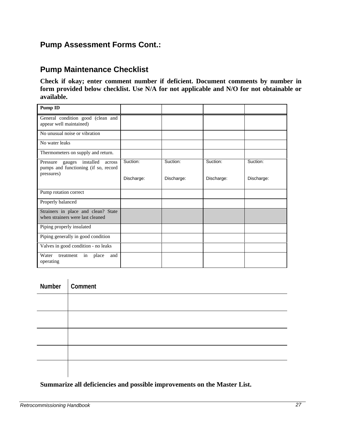## **Pump Assessment Forms Cont.:**

## **Pump Maintenance Checklist**

**Check if okay; enter comment number if deficient. Document comments by number in form provided below checklist. Use N/A for not applicable and N/O for not obtainable or available.**

| <b>Pump ID</b>                                                                                  |            |            |            |            |
|-------------------------------------------------------------------------------------------------|------------|------------|------------|------------|
| General condition good (clean and<br>appear well maintained)                                    |            |            |            |            |
| No unusual noise or vibration                                                                   |            |            |            |            |
| No water leaks                                                                                  |            |            |            |            |
| Thermometers on supply and return.                                                              |            |            |            |            |
| installed<br>Pressure<br>gauges<br>across<br>pumps and functioning (if so, record<br>pressures) | Suction:   | Suction:   | Suction:   | Suction:   |
|                                                                                                 | Discharge: | Discharge: | Discharge: | Discharge: |
| Pump rotation correct                                                                           |            |            |            |            |
| Properly balanced                                                                               |            |            |            |            |
| Strainers in place and clean? State<br>when strainers were last cleaned                         |            |            |            |            |
| Piping properly insulated                                                                       |            |            |            |            |
| Piping generally in good condition                                                              |            |            |            |            |
| Valves in good condition - no leaks                                                             |            |            |            |            |
| Water<br>place<br>treatment<br>and<br>in<br>operating                                           |            |            |            |            |

| Number   Comment |
|------------------|
|                  |
|                  |
|                  |
|                  |
|                  |

## **Summarize all deficiencies and possible improvements on the Master List.**

i.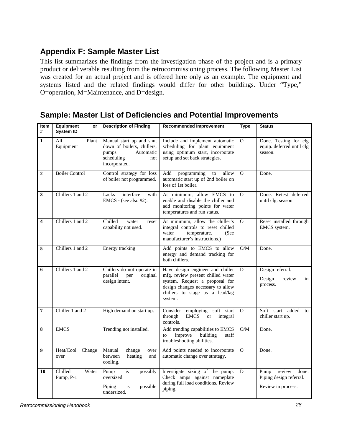# **Appendix F: Sample Master List**

This list summarizes the findings from the investigation phase of the project and is a primary product or deliverable resulting from the retrocommissioning process. The following Master List was created for an actual project and is offered here only as an example. The equipment and systems listed and the related findings would differ for other buildings. Under "Type," O=operation, M=Maintenance, and D=design.

# **Sample: Master List of Deficiencies and Potential Improvements**

| Item<br>#               | <b>Equipment</b><br>or<br><b>System ID</b> | <b>Description of Finding</b>                                                                                       | <b>Recommended Improvement</b>                                                                                                                                                             | Type     | <b>Status</b>                                                         |
|-------------------------|--------------------------------------------|---------------------------------------------------------------------------------------------------------------------|--------------------------------------------------------------------------------------------------------------------------------------------------------------------------------------------|----------|-----------------------------------------------------------------------|
| $\mathbf{1}$            | All<br>Plant<br>Equipment                  | Manual start up and shut<br>down of boilers, chillers,<br>Automatic<br>pumps.<br>scheduling<br>not<br>incorporated. | Include and implement automatic<br>scheduling for plant equipment<br>using optimum start, incorporate<br>setup and set back strategies.                                                    | $\Omega$ | Done. Testing for clg<br>equip. deferred until clg<br>season.         |
| $\overline{2}$          | <b>Boiler Control</b>                      | Control strategy for loss<br>of boiler not programmed.                                                              | Add<br>programming<br>allow<br>to<br>automatic start up of 2nd boiler on<br>loss of 1st boiler.                                                                                            | $\Omega$ | Done.                                                                 |
| 3                       | Chillers 1 and 2                           | interface<br>Lacks<br>with<br>$EMCS - (see also #2).$                                                               | At minimum, allow EMCS to<br>enable and disable the chiller and<br>add monitoring points for water<br>temperatures and run status.                                                         | $\Omega$ | Done. Retest deferred<br>until clg. season.                           |
| $\overline{\mathbf{4}}$ | Chillers 1 and 2                           | Chilled<br>water<br>reset<br>capability not used.                                                                   | At minimum, allow the chiller's<br>integral controls to reset chilled<br>temperature.<br>water<br>(See<br>manufacturer's instructions.)                                                    | $\Omega$ | Reset installed through<br>EMCS system.                               |
| 5                       | Chillers 1 and 2                           | Energy tracking                                                                                                     | Add points to EMCS to allow<br>energy and demand tracking for<br>both chillers.                                                                                                            | O/M      | Done.                                                                 |
| 6                       | Chillers 1 and 2                           | Chillers do not operate in<br>parallel<br>original<br>per<br>design intent.                                         | Have design engineer and chiller<br>mfg. review present chilled water<br>system. Request a proposal for<br>design changes necessary to allow<br>chillers to stage as a lead/lag<br>system. | D        | Design referral.<br>Design<br>review<br>in<br>process.                |
| $\overline{7}$          | Chiller 1 and 2                            | High demand on start up.                                                                                            | Consider employing<br>soft<br>start<br>through<br><b>EMCS</b><br><b>or</b><br>integral<br>controls.                                                                                        | $\Omega$ | Soft start added<br>to<br>chiller start up.                           |
| 8                       | <b>EMCS</b>                                | Trending not installed.                                                                                             | Add trending capabilities to EMCS<br>building<br>improve<br>to<br>staff<br>troubleshooting abilities.                                                                                      | O/M      | Done.                                                                 |
| 9                       | Heat/Cool<br>Change<br>over                | Manual<br>change<br>over<br>between<br>heating<br>and<br>cooling.                                                   | Add points needed to incorporate<br>automatic change over strategy.                                                                                                                        | $\Omega$ | Done.                                                                 |
| 10                      | Chilled<br>Water<br>Pump, P-1              | Pump<br>is<br>possibly<br>oversized.<br>Piping<br>possible<br>is<br>undersized.                                     | Investigate sizing of the pump.<br>Check amps against nameplate<br>during full load conditions. Review<br>piping.                                                                          | D        | Pump review<br>done.<br>Piping design referral.<br>Review in process. |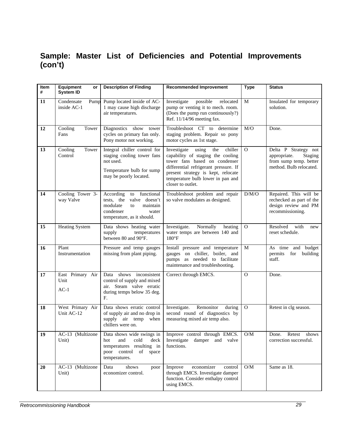## **Sample: Master List of Deficiencies and Potential Improvements (con't)**

| Item<br># | Equipment<br>or<br><b>System ID</b> | <b>Description of Finding</b>                                                                                                               | <b>Recommended Improvement</b>                                                                                                                                                                                                                        | <b>Type</b>  | <b>Status</b>                                                                                        |
|-----------|-------------------------------------|---------------------------------------------------------------------------------------------------------------------------------------------|-------------------------------------------------------------------------------------------------------------------------------------------------------------------------------------------------------------------------------------------------------|--------------|------------------------------------------------------------------------------------------------------|
| 11        | Condensate<br>Pump<br>inside AC-1   | Pump located inside of AC-<br>1 may cause high discharge<br>air temperatures.                                                               | Investigate<br>possible<br>relocated<br>pump or venting it to mech. room.<br>(Does the pump run continuously?)<br>Ref. 11/14/96 meeting fax.                                                                                                          | M            | Insulated for temporary<br>solution.                                                                 |
| 12        | Cooling<br>Tower<br>Fans            | Diagnostics show tower<br>cycles on primary fan only.<br>Pony motor not working.                                                            | Troubleshoot CT to determine<br>staging problem. Repair so pony<br>motor cycles as 1st stage.                                                                                                                                                         | M/O          | Done.                                                                                                |
| 13        | Cooling<br>Tower<br>Control         | Integral chiller control for<br>staging cooling tower fans<br>not used.<br>Temperature bulb for sump<br>may be poorly located.              | Investigate<br>using<br>chiller<br>the<br>capability of staging the cooling<br>tower fans based on condenser<br>differential refrigerant pressure. If<br>present strategy is kept, relocate<br>temperature bulb lower in pan and<br>closer to outlet. | $\mathbf{O}$ | Delta P Strategy not<br>appropriate.<br>Staging<br>from sump temp. better<br>method. Bulb relocated. |
| 14        | Cooling Tower 3-<br>way Valve       | to functional<br>According<br>tests, the<br>valve doesn't<br>modulate<br>maintain<br>to<br>condenser<br>water<br>temperature, as it should. | Troubleshoot problem and repair<br>so valve modulates as designed.                                                                                                                                                                                    | D/M/O        | Repaired. This will be<br>rechecked as part of the<br>design review and PM<br>recommissioning.       |
| 15        | <b>Heating System</b>               | Data shows heating water<br>supply<br>temperatures<br>between 80 and 90°F.                                                                  | Investigate.<br>Normally<br>heating<br>water temps are between 140 and<br>$180°$ F                                                                                                                                                                    | $\Omega$     | Resolved<br>with<br>new<br>reset schedule.                                                           |
| 16        | Plant<br>Instrumentation            | Pressure and temp gauges<br>missing from plant piping.                                                                                      | Install pressure and temperature<br>gauges on chiller, boiler, and<br>pumps as needed to facilitate<br>maintenance and troubleshooting.                                                                                                               | M            | As time and budget<br>permits<br>for<br>building<br>staff.                                           |
| 17        | East Primary Air<br>Unit<br>$AC-1$  | Data shows inconsistent<br>control of supply and mixed<br>air. Steam valve erratic<br>during temps below 35 deg.<br>F.                      | Correct through EMCS.                                                                                                                                                                                                                                 | $\Omega$     | Done.                                                                                                |
| 18        | West Primary Air<br>Unit AC-12      | Data shows erratic control<br>of supply air and no drop in<br>supply air temp<br>when<br>chillers were on.                                  | Remonitor<br>Investigate.<br>during<br>second round of diagnostics by<br>measuring mixed air temp also.                                                                                                                                               | $\Omega$     | Retest in clg season.                                                                                |
| 19        | Unit)                               | cold<br>and<br>deck<br>hot<br>temperatures resulting in<br>poor control of space<br>temperatures.                                           | AC-13 (Multizone   Data shows wide swings in   Improve control through EMCS.<br>Investigate damper and valve<br>functions.                                                                                                                            | O/M          | Done. Retest<br>shows<br>correction successful.                                                      |
| 20        | AC-13 (Multizone<br>Unit)           | Data<br>shows<br>poor<br>economizer control.                                                                                                | Improve<br>economizer<br>control<br>through EMCS. Investigate damper<br>function. Consider enthalpy control<br>using EMCS.                                                                                                                            | O/M          | Same as 18.                                                                                          |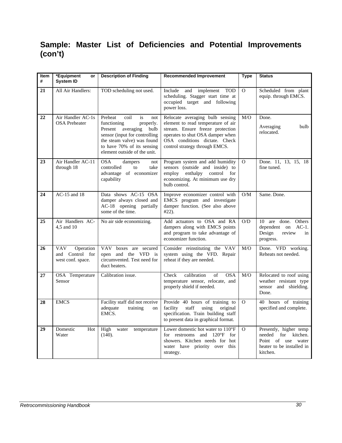# **Sample: Master List of Deficiencies and Potential Improvements (con't)**

| <b>Item</b><br># | *Equipment<br>or<br><b>System ID</b>                            | <b>Description of Finding</b>                                                                                                                                                                                         | <b>Recommended Improvement</b>                                                                                                                                                                                   | <b>Type</b> | <b>Status</b>                                                                                                   |
|------------------|-----------------------------------------------------------------|-----------------------------------------------------------------------------------------------------------------------------------------------------------------------------------------------------------------------|------------------------------------------------------------------------------------------------------------------------------------------------------------------------------------------------------------------|-------------|-----------------------------------------------------------------------------------------------------------------|
| 21               | All Air Handlers:                                               | TOD scheduling not used.                                                                                                                                                                                              | Include<br>and implement TOD<br>scheduling. Stagger start time at<br>occupied target and following<br>power loss.                                                                                                | $\Omega$    | Scheduled from plant<br>equip. through EMCS.                                                                    |
| 22               | Air Handler AC-1s<br><b>OSA</b> Preheater                       | Preheat<br>coil<br>is<br>not<br>functioning<br>properly.<br>Present<br>averaging<br>bulb<br>sensor (input for controlling<br>the steam valve) was found<br>to have 70% of its sensing<br>element outside of the unit. | Relocate averaging bulb sensing<br>element to read temperature of air<br>stream. Ensure freeze protection<br>operates to shut OSA damper when<br>OSA conditions dictate. Check<br>control strategy through EMCS. | M/O         | Done.<br>Averaging<br>bulb<br>relocated.                                                                        |
| 23               | Air Handler AC-11<br>through 18                                 | <b>OSA</b><br>dampers<br>not<br>controlled<br>to<br>take<br>advantage of economizer<br>capability                                                                                                                     | Program system and add humidity<br>sensors (outside and inside) to<br>employ<br>enthalpy<br>control<br>for<br>economizing. At minimum use dry<br>bulb control.                                                   | $\Omega$    | Done. 11, 13, 15, 18<br>fine tuned.                                                                             |
| 24               | AC-15 and 18                                                    | Data shows AC-15 OSA<br>damper always closed and<br>AC-18 opening partially<br>some of the time.                                                                                                                      | Improve economizer control with<br>EMCS program and investigate<br>damper function. (See also above<br>$#22$ ).                                                                                                  | O/M         | Same. Done.                                                                                                     |
| 25               | Air Handlers AC-<br>4.5 and 10                                  | No air side economizing.                                                                                                                                                                                              | Add actuators to OSA and RA<br>dampers along with EMCS points<br>and program to take advantage of<br>economizer function.                                                                                        | O/D         | 10 are done. Others<br>dependent on<br>$AC-1$ .<br>Design<br>review<br>in<br>progress.                          |
| 26               | <b>VAV</b><br>Operation<br>and Control for<br>west conf. space. | <b>VAV</b><br>boxes are secured<br>open and the VFD is<br>circumvented. Test need for<br>duct heaters.                                                                                                                | Consider reinstituting the VAV<br>system using the VFD. Repair<br>reheat if they are needed.                                                                                                                     | M/O         | Done. VFD working.<br>Reheats not needed.                                                                       |
| 27               | OSA Temperature<br>Sensor                                       | Calibration issue.                                                                                                                                                                                                    | calibration<br>Check<br>of<br><b>OSA</b><br>temperature sensor, relocate, and<br>properly shield if needed.                                                                                                      | M/O         | Relocated to roof using<br>weather resistant type<br>sensor and shielding.<br>Done.                             |
| 28               | <b>EMCS</b>                                                     | Facility staff did not receive<br>adequate<br>training<br>on<br>EMCS.                                                                                                                                                 | Provide 40 hours of training to<br>facility<br>staff<br>using<br>original<br>specification. Train building staff<br>to present data in graphical format.                                                         | $\Omega$    | 40 hours of training<br>specified and complete.                                                                 |
| 29               | Domestic<br>Hot<br>Water                                        | High<br>water<br>temperature<br>(140).                                                                                                                                                                                | Lower domestic hot water to $110^{\circ}$ F<br>for restrooms and $120^{\circ}F$<br>for<br>showers. Kitchen needs for hot<br>water have priority over this<br>strategy.                                           | $\Omega$    | Presently, higher temp<br>needed for kitchen.<br>Point of use<br>water<br>heater to be installed in<br>kitchen. |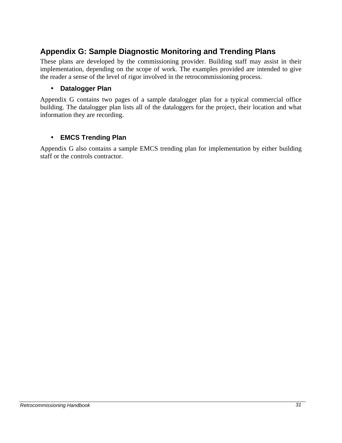## **Appendix G: Sample Diagnostic Monitoring and Trending Plans**

These plans are developed by the commissioning provider. Building staff may assist in their implementation, depending on the scope of work. The examples provided are intended to give the reader a sense of the level of rigor involved in the retrocommissioning process.

## • **Datalogger Plan**

Appendix G contains two pages of a sample datalogger plan for a typical commercial office building. The datalogger plan lists all of the dataloggers for the project, their location and what information they are recording.

## • **EMCS Trending Plan**

Appendix G also contains a sample EMCS trending plan for implementation by either building staff or the controls contractor.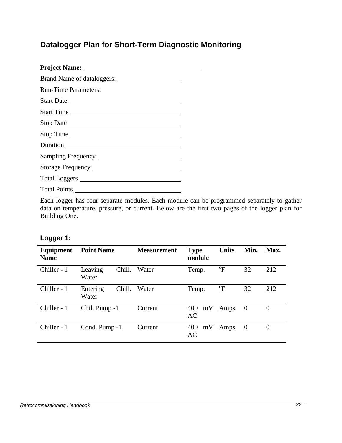# **Datalogger Plan for Short-Term Diagnostic Monitoring**

| <b>Run-Time Parameters:</b>                                                                                                                                                                                                    |
|--------------------------------------------------------------------------------------------------------------------------------------------------------------------------------------------------------------------------------|
|                                                                                                                                                                                                                                |
| Start Time                                                                                                                                                                                                                     |
|                                                                                                                                                                                                                                |
| Stop Time                                                                                                                                                                                                                      |
| Duration has been as a series of the series of the series of the series of the series of the series of the series of the series of the series of the series of the series of the series of the series of the series of the ser |
|                                                                                                                                                                                                                                |
|                                                                                                                                                                                                                                |
|                                                                                                                                                                                                                                |
| Total Points                                                                                                                                                                                                                   |
|                                                                                                                                                                                                                                |

Each logger has four separate modules. Each module can be programmed separately to gather data on temperature, pressure, or current. Below are the first two pages of the logger plan for Building One.

## **Logger 1:**

| Equipment<br><b>Name</b> | <b>Point Name</b>           | <b>Measurement</b> | <b>Type</b><br>module  | <b>Units</b>   | Min.           | Max.           |
|--------------------------|-----------------------------|--------------------|------------------------|----------------|----------------|----------------|
| Chiller - 1              | Chill.<br>Leaving<br>Water  | Water              | Temp.                  | $\mathrm{^oF}$ | 32             | 212            |
| Chiller - 1              | Chill.<br>Entering<br>Water | Water              | Temp.                  | $\mathrm{^oF}$ | 32             | 212            |
| Chiller - 1              | Chil. Pump -1               | Current            | 400<br>mV<br><b>AC</b> | Amps           | $\overline{0}$ | $\overline{0}$ |
| Chiller - 1              | Cond. Pump -1               | Current            | mV<br>400<br>AC        | Amps           | $\overline{0}$ | 0              |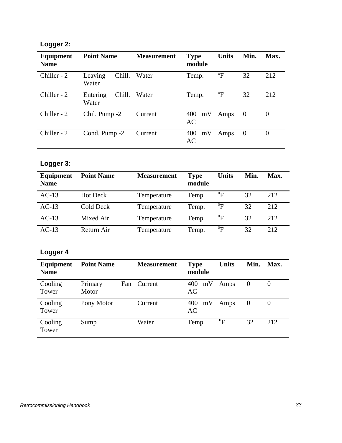# **Logger 2:**

| Equipment<br><b>Name</b> | <b>Point Name</b>           | <b>Measurement</b> | <b>Type</b><br>module | <b>Units</b>   | Min.     | Max.     |
|--------------------------|-----------------------------|--------------------|-----------------------|----------------|----------|----------|
| Chiller - 2              | Chill.<br>Leaving<br>Water  | Water              | Temp.                 | $\mathrm{^0F}$ | 32       | 212      |
| Chiller - 2              | Chill.<br>Entering<br>Water | Water              | Temp.                 | $\mathrm{^0F}$ | 32       | 212      |
| Chiller - 2              | Chil. Pump -2               | Current            | mV<br>400<br>AC       | Amps           | $\theta$ | $\theta$ |
| Chiller - 2              | Cond. Pump -2               | Current            | 400<br>mV<br>AC       | Amps           | $\theta$ | $\theta$ |

# **Logger 3:**

| <b>Equipment</b><br><b>Name</b> | <b>Point Name</b> | <b>Measurement</b> | <b>Type</b><br>module | <b>Units</b>     | Min. | Max. |
|---------------------------------|-------------------|--------------------|-----------------------|------------------|------|------|
| $AC-13$                         | <b>Hot Deck</b>   | Temperature        | Temp.                 | $\mathrm{^oF}$   | 32   | 212  |
| $AC-13$                         | Cold Deck         | Temperature        | Temp.                 | $\mathrm{^oF}$   | 32   | 212  |
| $AC-13$                         | Mixed Air         | Temperature        | Temp.                 | $\mathrm{^oF}$   | 32   | 212  |
| $AC-13$                         | Return Air        | Temperature        | Temp.                 | $\mathrm{^{o}F}$ | 32   | 212  |

# **Logger 4**

| Equipment<br><b>Name</b> | <b>Point Name</b> |     | <b>Measurement</b> | <b>Type</b><br>module | <b>Units</b>              | Min.     | Max. |
|--------------------------|-------------------|-----|--------------------|-----------------------|---------------------------|----------|------|
| Cooling<br>Tower         | Primary<br>Motor  | Fan | Current            | mV<br>400<br>AC       | Amps                      | $\theta$ |      |
| Cooling<br>Tower         | Pony Motor        |     | Current            | mV<br>400<br>AC       | Amps                      | O        |      |
| Cooling<br>Tower         | Sump              |     | Water              | Temp.                 | $\mathrm{P}^{\mathrm{o}}$ | 32       | 212  |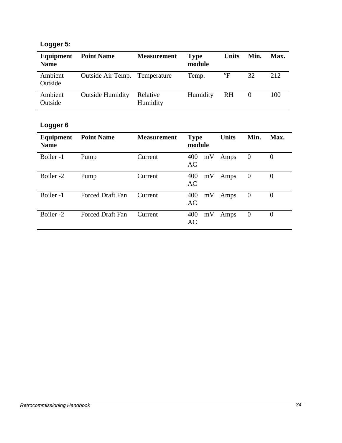# **Logger 5:**

| Equipment<br><b>Name</b> | <b>Point Name</b>                    | <b>Measurement</b>   | <b>Type</b><br>module | <b>Units</b>              | Min. | Max. |
|--------------------------|--------------------------------------|----------------------|-----------------------|---------------------------|------|------|
| Ambient<br>Outside       | <b>Outside Air Temp. Temperature</b> |                      | Temp.                 | $\mathrm{P}_{\mathrm{F}}$ | 32   | 2.12 |
| Ambient<br>Outside       | <b>Outside Humidity</b>              | Relative<br>Humidity | Humidity              | RH                        |      | 100  |

# **Logger 6**

| Equipment<br><b>Name</b> | <b>Point Name</b>       | <b>Measurement</b> | <b>Type</b><br>module | <b>Units</b> | Min.             | Max.     |
|--------------------------|-------------------------|--------------------|-----------------------|--------------|------------------|----------|
| Boiler -1                | Pump                    | Current            | 400<br>mV<br>AC       | Amps         | $\boldsymbol{0}$ | $\Omega$ |
| Boiler -2                | Pump                    | Current            | 400<br>mV<br>AC       | Amps         | $\theta$         | $\Omega$ |
| Boiler-1                 | <b>Forced Draft Fan</b> | Current            | 400<br>mV<br>AC       | Amps         | $\overline{0}$   | $\Omega$ |
| Boiler -2                | <b>Forced Draft Fan</b> | Current            | 400<br>mV<br>AC       | Amps         | $\overline{0}$   | $\theta$ |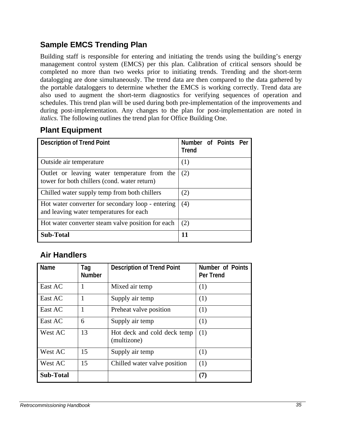# **Sample EMCS Trending Plan**

Building staff is responsible for entering and initiating the trends using the building's energy management control system (EMCS) per this plan. Calibration of critical sensors should be completed no more than two weeks prior to initiating trends. Trending and the short-term datalogging are done simultaneously. The trend data are then compared to the data gathered by the portable dataloggers to determine whether the EMCS is working correctly. Trend data are also used to augment the short-term diagnostics for verifying sequences of operation and schedules. This trend plan will be used during both pre-implementation of the improvements and during post-implementation. Any changes to the plan for post-implementation are noted in *italics.* The following outlines the trend plan for Office Building One.

# **Plant Equipment**

| <b>Description of Trend Point</b>                                                            | Number of Points Per<br><b>Trend</b> |  |  |
|----------------------------------------------------------------------------------------------|--------------------------------------|--|--|
| Outside air temperature                                                                      | (1)                                  |  |  |
| Outlet or leaving water temperature from the<br>tower for both chillers (cond. water return) | (2)                                  |  |  |
| Chilled water supply temp from both chillers                                                 | (2)                                  |  |  |
| Hot water converter for secondary loop - entering<br>and leaving water temperatures for each | (4)                                  |  |  |
| Hot water converter steam valve position for each                                            | (2)                                  |  |  |
| <b>Sub-Total</b>                                                                             | 11                                   |  |  |

## **Air Handlers**

| Name             | Tag<br><b>Number</b> | <b>Description of Trend Point</b>          | <b>Number of Points</b><br><b>Per Trend</b> |
|------------------|----------------------|--------------------------------------------|---------------------------------------------|
| East AC          |                      | Mixed air temp                             | (1)                                         |
| East AC          | 1                    | Supply air temp                            | (1)                                         |
| East AC          |                      | Preheat valve position                     | (1)                                         |
| East AC          | 6                    | Supply air temp                            | (1)                                         |
| West AC          | 13                   | Hot deck and cold deck temp<br>(multizone) | (1)                                         |
| West AC          | 15                   | Supply air temp                            | (1)                                         |
| West AC          | 15                   | Chilled water valve position               | (1)                                         |
| <b>Sub-Total</b> |                      |                                            | (7)                                         |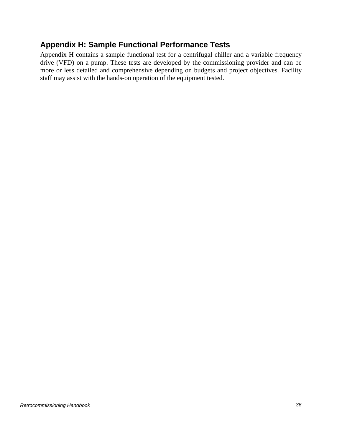## **Appendix H: Sample Functional Performance Tests**

Appendix H contains a sample functional test for a centrifugal chiller and a variable frequency drive (VFD) on a pump. These tests are developed by the commissioning provider and can be more or less detailed and comprehensive depending on budgets and project objectives. Facility staff may assist with the hands-on operation of the equipment tested.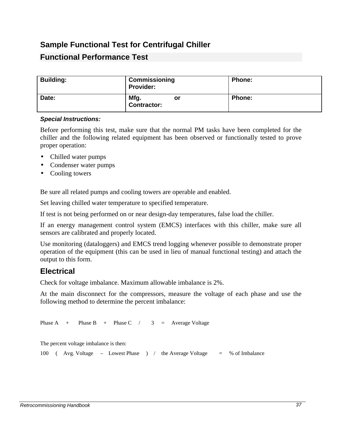## **Sample Functional Test for Centrifugal Chiller**

## **Functional Performance Test**

| <b>Building:</b> | Commissioning<br><b>Provider:</b> | <b>Phone:</b> |
|------------------|-----------------------------------|---------------|
| Date:            | Mfg.<br>or<br><b>Contractor:</b>  | <b>Phone:</b> |

#### *Special Instructions:*

Before performing this test, make sure that the normal PM tasks have been completed for the chiller and the following related equipment has been observed or functionally tested to prove proper operation:

- Chilled water pumps
- Condenser water pumps
- Cooling towers

Be sure all related pumps and cooling towers are operable and enabled.

Set leaving chilled water temperature to specified temperature.

If test is not being performed on or near design-day temperatures, false load the chiller.

If an energy management control system (EMCS) interfaces with this chiller, make sure all sensors are calibrated and properly located.

Use monitoring (dataloggers) and EMCS trend logging whenever possible to demonstrate proper operation of the equipment (this can be used in lieu of manual functional testing) and attach the output to this form.

## **Electrical**

Check for voltage imbalance. Maximum allowable imbalance is 2%.

At the main disconnect for the compressors, measure the voltage of each phase and use the following method to determine the percent imbalance:

Phase A + Phase B + Phase C  $/$  3 = Average Voltage

The percent voltage imbalance is then:

|  |  | 100 (Avg. Voltage – Lowest Phase ) |  |  |  |  | the Average Voltage |  | % of Imbalance |
|--|--|------------------------------------|--|--|--|--|---------------------|--|----------------|
|--|--|------------------------------------|--|--|--|--|---------------------|--|----------------|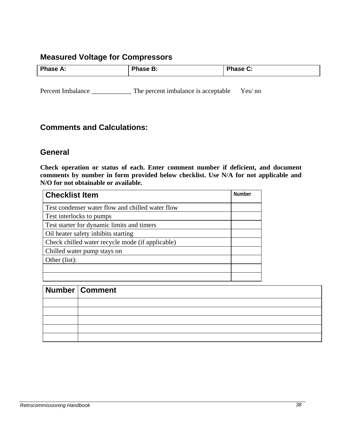## **Measured Voltage for Compressors**

| <b>Phase A:</b> | Phase B: | <b>Phase C:</b> |
|-----------------|----------|-----------------|
|                 |          |                 |

Percent Imbalance \_\_\_\_\_\_\_\_\_\_\_\_\_\_\_ The percent imbalance is acceptable Yes/ no

## **Comments and Calculations:**

## **General**

**Check operation or status of each. Enter comment number if deficient, and document comments by number in form provided below checklist. Use N/A for not applicable and N/O for not obtainable or available.**

| <b>Checklist Item</b>                            | <b>Number</b> |
|--------------------------------------------------|---------------|
| Test condenser water flow and chilled water flow |               |
| Test interlocks to pumps                         |               |
| Test starter for dynamic limits and timers       |               |
| Oil heater safety inhibits starting              |               |
| Check chilled water recycle mode (if applicable) |               |
| Chilled water pump stays on                      |               |
| Other (list):                                    |               |
|                                                  |               |
|                                                  |               |

| Number   Comment |
|------------------|
|                  |
|                  |
|                  |
|                  |
|                  |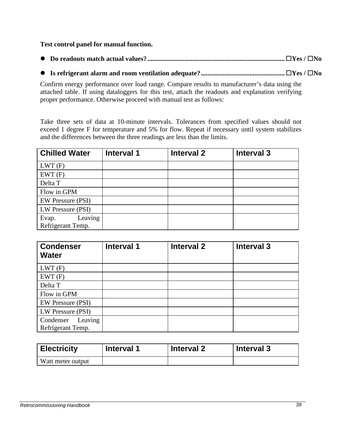## **Test control panel for manual function.**

- **l Do readouts match actual values?.................................................................................. ®Yes / ®No**
- **l Is refrigerant alarm and room ventilation adequate?.................................................. ®Yes / ®No**

Confirm energy performance over load range. Compare results to manufacturer's data using the attached table. If using dataloggers for this test, attach the readouts and explanation verifying proper performance. Otherwise proceed with manual test as follows:

Take three sets of data at 10-minute intervals. Tolerances from specified values should not exceed 1 degree F for temperature and 5% for flow. Repeat if necessary until system stabilizes and the differences between the three readings are less than the limits.

| <b>Chilled Water</b>                  | Interval 1 | <b>Interval 2</b> | <b>Interval 3</b> |
|---------------------------------------|------------|-------------------|-------------------|
| LWT(F)                                |            |                   |                   |
| EWT(F)                                |            |                   |                   |
| Delta T                               |            |                   |                   |
| Flow in GPM                           |            |                   |                   |
| <b>EW Pressure (PSI)</b>              |            |                   |                   |
| LW Pressure (PSI)                     |            |                   |                   |
| Leaving<br>Evap.<br>Refrigerant Temp. |            |                   |                   |

| <b>Condenser</b><br><b>Water</b>          | <b>Interval 1</b> | <b>Interval 2</b> | Interval 3 |
|-------------------------------------------|-------------------|-------------------|------------|
| LWT(F)                                    |                   |                   |            |
| EWT(F)                                    |                   |                   |            |
| Delta T                                   |                   |                   |            |
| Flow in GPM                               |                   |                   |            |
| <b>EW Pressure (PSI)</b>                  |                   |                   |            |
| LW Pressure (PSI)                         |                   |                   |            |
| Leaving<br>Condenser<br>Refrigerant Temp. |                   |                   |            |

| <b>Electricity</b> | <b>Interval 1</b> | <b>Interval 2</b> | <b>Interval 3</b> |
|--------------------|-------------------|-------------------|-------------------|
| Watt meter output  |                   |                   |                   |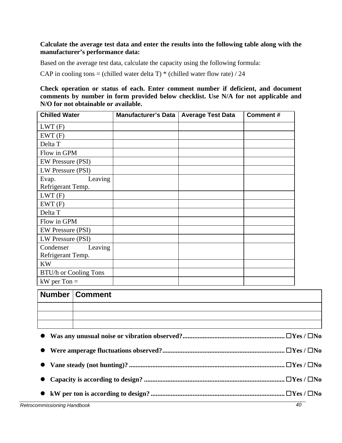## **Calculate the average test data and enter the results into the following table along with the manufacturer's performance data:**

Based on the average test data, calculate the capacity using the following formula:

CAP in cooling tons = (chilled water delta T)  $*$  (chilled water flow rate) / 24

**Check operation or status of each. Enter comment number if deficient, and document comments by number in form provided below checklist. Use N/A for not applicable and N/O for not obtainable or available.**

| <b>Chilled Water</b>                      | <b>Manufacturer's Data</b> | <b>Average Test Data</b> | <b>Comment#</b> |
|-------------------------------------------|----------------------------|--------------------------|-----------------|
| LWT(F)                                    |                            |                          |                 |
| EWT(F)                                    |                            |                          |                 |
| Delta T                                   |                            |                          |                 |
| Flow in GPM                               |                            |                          |                 |
| <b>EW Pressure (PSI)</b>                  |                            |                          |                 |
| LW Pressure (PSI)                         |                            |                          |                 |
| Leaving<br>Evap.<br>Refrigerant Temp.     |                            |                          |                 |
| LWT(F)                                    |                            |                          |                 |
| EWT(F)                                    |                            |                          |                 |
| Delta T                                   |                            |                          |                 |
| Flow in GPM                               |                            |                          |                 |
| <b>EW Pressure (PSI)</b>                  |                            |                          |                 |
| LW Pressure (PSI)                         |                            |                          |                 |
| Condenser<br>Leaving<br>Refrigerant Temp. |                            |                          |                 |
| <b>KW</b>                                 |                            |                          |                 |
| <b>BTU/h or Cooling Tons</b>              |                            |                          |                 |
| $kW$ per Ton $=$                          |                            |                          |                 |

| Number   Comment |
|------------------|
|                  |
|                  |
|                  |

| Retrocommissioning Handbook | 40 |
|-----------------------------|----|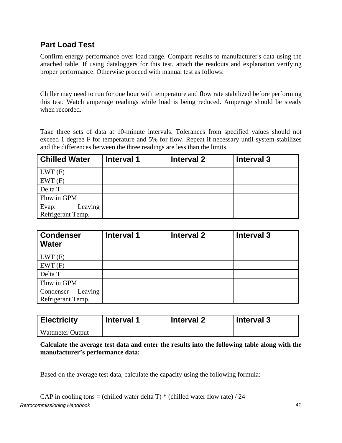## **Part Load Test**

Confirm energy performance over load range. Compare results to manufacturer's data using the attached table. If using dataloggers for this test, attach the readouts and explanation verifying proper performance. Otherwise proceed with manual test as follows:

Chiller may need to run for one hour with temperature and flow rate stabilized before performing this test. Watch amperage readings while load is being reduced. Amperage should be steady when recorded.

Take three sets of data at 10-minute intervals. Tolerances from specified values should not exceed 1 degree F for temperature and 5% for flow. Repeat if necessary until system stabilizes and the differences between the three readings are less than the limits.

| <b>Chilled Water</b>                  | Interval 1 | <b>Interval 2</b> | Interval 3 |
|---------------------------------------|------------|-------------------|------------|
| LWT(F)                                |            |                   |            |
| EWT(F)                                |            |                   |            |
| Delta T                               |            |                   |            |
| Flow in GPM                           |            |                   |            |
| Leaving<br>Evap.<br>Refrigerant Temp. |            |                   |            |

| <b>Condenser</b><br><b>Water</b>          | <b>Interval 1</b> | <b>Interval 2</b> | Interval 3 |
|-------------------------------------------|-------------------|-------------------|------------|
| LWT(F)                                    |                   |                   |            |
| EWT(F)                                    |                   |                   |            |
| Delta T                                   |                   |                   |            |
| Flow in GPM                               |                   |                   |            |
| Leaving<br>Condenser<br>Refrigerant Temp. |                   |                   |            |

| <b>Electricity</b>      | <b>Interval 1</b> | <b>Interval 2</b> | <b>Interval 3</b> |  |
|-------------------------|-------------------|-------------------|-------------------|--|
| <b>Wattmeter Output</b> |                   |                   |                   |  |

**Calculate the average test data and enter the results into the following table along with the manufacturer's performance data:**

Based on the average test data, calculate the capacity using the following formula:

CAP in cooling tons = (chilled water delta T)  $*$  (chilled water flow rate) / 24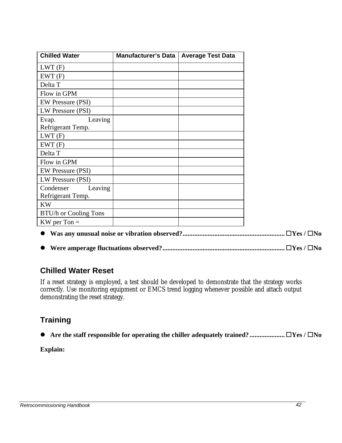| <b>Chilled Water</b>     | Manufacturer's Data | <b>Average Test Data</b> |
|--------------------------|---------------------|--------------------------|
| LWT(F)                   |                     |                          |
| EWT(F)                   |                     |                          |
| Delta T                  |                     |                          |
| Flow in GPM              |                     |                          |
| <b>EW Pressure (PSI)</b> |                     |                          |
| LW Pressure (PSI)        |                     |                          |
| Leaving<br>Evap.         |                     |                          |
| Refrigerant Temp.        |                     |                          |
| LWT(F)                   |                     |                          |
| EWT(F)                   |                     |                          |
| Delta T                  |                     |                          |
| Flow in GPM              |                     |                          |
| <b>EW Pressure (PSI)</b> |                     |                          |
| LW Pressure (PSI)        |                     |                          |
| Condenser<br>Leaving     |                     |                          |
| Refrigerant Temp.        |                     |                          |
| <b>KW</b>                |                     |                          |
| BTU/h or Cooling Tons    |                     |                          |
| $KW$ per Ton $=$         |                     |                          |

- **l Was any unusual noise or vibration observed?............................................................. ®Yes / ®No**
- **l Were amperage fluctuations observed?......................................................................... ®Yes / ®No**

## **Chilled Water Reset**

If a reset strategy is employed, a test should be developed to demonstrate that the strategy works correctly. Use monitoring equipment or EMCS trend logging whenever possible and attach output demonstrating the reset strategy.

## **Training**

**l Are the staff responsible for operating the chiller adequately trained?..................... ®Yes / ®No**

## **Explain:**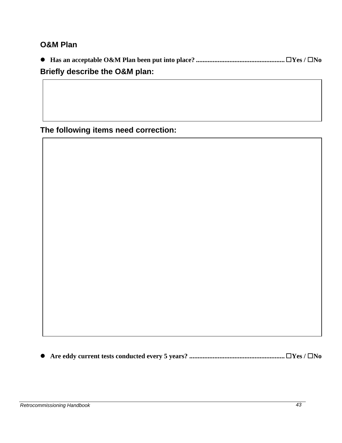## **O&M Plan**

**l Has an acceptable O&M Plan been put into place? ..................................................... ®Yes / ®No**

## **Briefly describe the O&M plan:**

**The following items need correction:**

**l Are eddy current tests conducted every 5 years? ......................................................... ®Yes / ®No**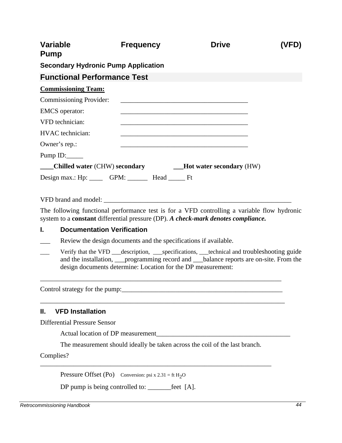| <b>Variable</b><br><b>Pump</b>                                         | <b>Frequency</b> | <b>Drive</b>                                                                                                          |  |
|------------------------------------------------------------------------|------------------|-----------------------------------------------------------------------------------------------------------------------|--|
| <b>Secondary Hydronic Pump Application</b>                             |                  |                                                                                                                       |  |
| <b>Functional Performance Test</b>                                     |                  |                                                                                                                       |  |
| <b>Commissioning Team:</b>                                             |                  |                                                                                                                       |  |
| Commissioning Provider:                                                |                  | <u> 2000 - Jan James James Jan James James Jan James James Jan James James Jan Jan James James Jan Jan Jan Jan Ja</u> |  |
| <b>EMCS</b> operator:                                                  |                  | <u> 1989 - Johann Barbara, margaret eta idazlea (h. 1989).</u>                                                        |  |
| VFD technician:                                                        |                  |                                                                                                                       |  |
| HVAC technician:                                                       |                  | <u> 1989 - Johann Stoff, amerikansk politiker (* 1908)</u>                                                            |  |
| Owner's rep.:                                                          |                  |                                                                                                                       |  |
|                                                                        |                  |                                                                                                                       |  |
| Chilled water (CHW) secondary <b>EXECUTE:</b> Hot water secondary (HW) |                  |                                                                                                                       |  |
| Design max.: Hp: ______ GPM: _______ Head ______ Ft                    |                  |                                                                                                                       |  |

VFD brand and model: \_\_\_\_\_\_\_\_\_\_\_\_\_\_\_\_\_\_\_\_\_\_\_\_\_\_\_\_\_\_\_\_\_\_\_\_\_\_\_\_\_\_\_\_\_\_\_\_\_\_\_\_\_\_\_\_

The following functional performance test is for a VFD controlling a variable flow hydronic system to a **constant** differential pressure (DP). *A check-mark denotes compliance.*

#### **I. Documentation Verification**

- Review the design documents and the specifications if available.
- Verify that the VFD \_\_\_description, \_\_\_specifications, \_\_\_technical and troubleshooting guide and the installation, <u>programming record and halance reports are on-site</u>. From the design documents determine: Location for the DP measurement:

\_\_\_\_\_\_\_\_\_\_\_\_\_\_\_\_\_\_\_\_\_\_\_\_\_\_\_\_\_\_\_\_\_\_\_\_\_\_\_\_\_\_\_\_\_\_\_\_\_\_\_\_\_\_\_\_\_\_\_\_\_\_\_\_\_\_\_\_\_\_\_\_

\_\_\_\_\_\_\_\_\_\_\_\_\_\_\_\_\_\_\_\_\_\_\_\_\_\_\_\_\_\_\_\_\_\_\_\_\_\_\_\_\_\_\_\_\_\_\_\_\_\_\_\_\_\_\_\_\_\_\_\_\_\_\_\_\_\_\_\_\_\_\_\_\_

Control strategy for the pump:\_\_\_\_\_\_\_\_\_\_\_\_\_\_\_\_\_\_\_\_\_\_\_\_\_\_\_\_\_\_\_\_\_\_\_\_\_\_\_\_\_\_\_\_\_\_\_\_

## **II. VFD Installation**

Differential Pressure Sensor

Actual location of DP measurement

The measurement should ideally be taken across the coil of the last branch.

\_\_\_\_\_\_\_\_\_\_\_\_\_\_\_\_\_\_\_\_\_\_\_\_\_\_\_\_\_\_\_\_\_\_\_\_\_\_\_\_\_\_\_\_\_\_\_\_\_\_\_\_\_\_\_\_\_\_\_\_\_\_\_\_\_\_\_\_\_

Complies?

Pressure Offset (Po) Conversion: psi x  $2.31 = ft H<sub>2</sub>O$ 

DP pump is being controlled to: \_\_\_\_\_\_\_\_feet [A].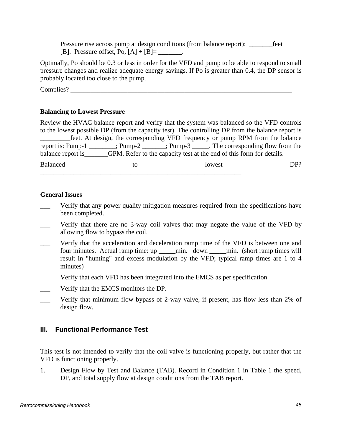Pressure rise across pump at design conditions (from balance report): Feet [B]. Pressure offset, Po,  $[A] \div [B] =$  \_\_\_\_\_\_\_.

Optimally, Po should be 0.3 or less in order for the VFD and pump to be able to respond to small pressure changes and realize adequate energy savings. If Po is greater than 0.4, the DP sensor is probably located too close to the pump.

Complies?

## **Balancing to Lowest Pressure**

Review the HVAC balance report and verify that the system was balanced so the VFD controls to the lowest possible DP (from the capacity test). The controlling DP from the balance report is \_\_\_\_\_\_\_\_\_feet. At design, the corresponding VFD frequency or pump RPM from the balance report is: Pump-1 \_\_\_\_\_\_\_\_; Pump-2 \_\_\_\_\_\_\_; Pump-3 \_\_\_\_\_. The corresponding flow from the balance report is\_\_\_\_\_\_\_GPM. Refer to the capacity test at the end of this form for details. Balanced to to lowest DP?

### **General Issues**

- \_\_\_ Verify that any power quality mitigation measures required from the specifications have been completed.
- Verify that there are no 3-way coil valves that may negate the value of the VFD by allowing flow to bypass the coil.
- \_\_\_ Verify that the acceleration and deceleration ramp time of the VFD is between one and four minutes. Actual ramp time: up \_\_\_\_\_min. down \_\_\_\_\_min. (short ramp times will result in "hunting" and excess modulation by the VFD; typical ramp times are 1 to 4 minutes)
- Verify that each VFD has been integrated into the EMCS as per specification.

\_\_\_\_\_\_\_\_\_\_\_\_\_\_\_\_\_\_\_\_\_\_\_\_\_\_\_\_\_\_\_\_\_\_\_\_\_\_\_\_\_\_\_\_\_\_\_\_\_\_\_\_\_\_\_\_\_\_\_\_

- Verify that the EMCS monitors the DP.
- Verify that minimum flow bypass of 2-way valve, if present, has flow less than 2% of design flow.

## **III. Functional Performance Test**

This test is not intended to verify that the coil valve is functioning properly, but rather that the VFD is functioning properly.

1. Design Flow by Test and Balance (TAB). Record in Condition 1 in Table 1 the speed, DP, and total supply flow at design conditions from the TAB report.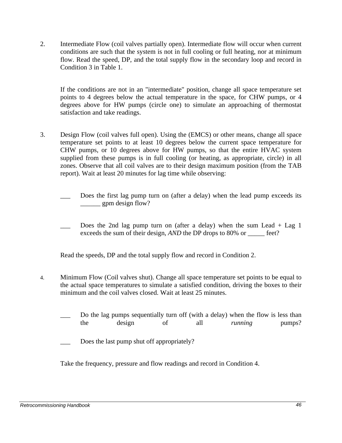2. Intermediate Flow (coil valves partially open). Intermediate flow will occur when current conditions are such that the system is not in full cooling or full heating, nor at minimum flow. Read the speed, DP, and the total supply flow in the secondary loop and record in Condition 3 in Table 1.

If the conditions are not in an "intermediate" position, change all space temperature set points to 4 degrees below the actual temperature in the space, for CHW pumps, or 4 degrees above for HW pumps (circle one) to simulate an approaching of thermostat satisfaction and take readings.

- 3. Design Flow (coil valves full open). Using the (EMCS) or other means, change all space temperature set points to at least 10 degrees below the current space temperature for CHW pumps, or 10 degrees above for HW pumps, so that the entire HVAC system supplied from these pumps is in full cooling (or heating, as appropriate, circle) in all zones. Observe that all coil valves are to their design maximum position (from the TAB report). Wait at least 20 minutes for lag time while observing:
	- Does the first lag pump turn on (after a delay) when the lead pump exceeds its  $\frac{1}{2}$  gpm design flow?
	- Does the 2nd lag pump turn on (after a delay) when the sum Lead  $+$  Lag 1 exceeds the sum of their design, *AND* the DP drops to 80% or \_\_\_\_\_ feet?

Read the speeds, DP and the total supply flow and record in Condition 2.

- 4. Minimum Flow (Coil valves shut). Change all space temperature set points to be equal to the actual space temperatures to simulate a satisfied condition, driving the boxes to their minimum and the coil valves closed. Wait at least 25 minutes.
	- Do the lag pumps sequentially turn off (with a delay) when the flow is less than the design of all *running* pumps?
	- Does the last pump shut off appropriately?

Take the frequency, pressure and flow readings and record in Condition 4.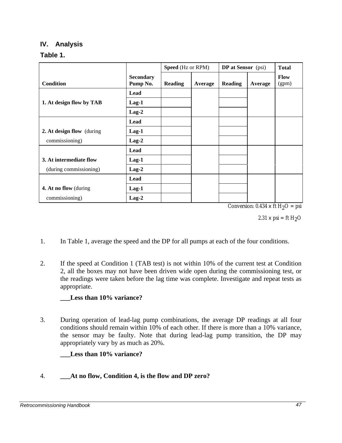## **IV. Analysis**

## **Table 1.**

|                           |                              | <b>Speed</b> (Hz or RPM) |         | <b>DP</b> at Sensor (psi) |         | <b>Total</b>         |
|---------------------------|------------------------------|--------------------------|---------|---------------------------|---------|----------------------|
| <b>Condition</b>          | <b>Secondary</b><br>Pump No. | <b>Reading</b>           | Average | <b>Reading</b>            | Average | <b>Flow</b><br>(gpm) |
|                           | Lead                         |                          |         |                           |         |                      |
| 1. At design flow by TAB  | $Lag-1$                      |                          |         |                           |         |                      |
|                           | $Lag-2$                      |                          |         |                           |         |                      |
|                           | Lead                         |                          |         |                           |         |                      |
| 2. At design flow (during | $Lag-1$                      |                          |         |                           |         |                      |
| commissioning)            | $Lag-2$                      |                          |         |                           |         |                      |
|                           | Lead                         |                          |         |                           |         |                      |
| 3. At intermediate flow   | $Lag-1$                      |                          |         |                           |         |                      |
| (during commissioning)    | $Lag-2$                      |                          |         |                           |         |                      |
|                           | Lead                         |                          |         |                           |         |                      |
| 4. At no flow (during     | $Lag-1$                      |                          |         |                           |         |                      |
| commissioning)            | $Lag-2$                      |                          |         |                           |         |                      |

Conversion:  $0.434 \times \text{ft H}_2\text{O} = \text{psi}$ 

2.31  $\times$  psi = ft H<sub>2</sub>O

- 1. In Table 1, average the speed and the DP for all pumps at each of the four conditions.
- 2. If the speed at Condition 1 (TAB test) is not within 10% of the current test at Condition 2, all the boxes may not have been driven wide open during the commissioning test, or the readings were taken before the lag time was complete. Investigate and repeat tests as appropriate.

## **\_\_\_Less than 10% variance?**

3. During operation of lead-lag pump combinations, the average DP readings at all four conditions should remain within 10% of each other. If there is more than a 10% variance, the sensor may be faulty. Note that during lead-lag pump transition, the DP may appropriately vary by as much as 20%.

## **Less than 10% variance?**

## 4. **\_\_\_At no flow, Condition 4, is the flow and DP zero?**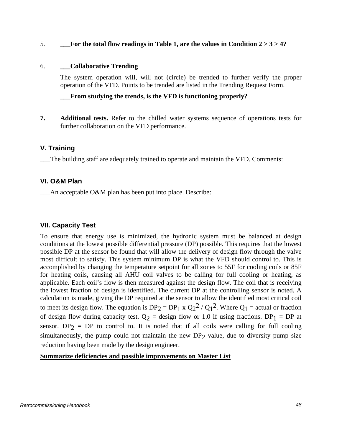#### 5. **\_\_\_For the total flow readings in Table 1, are the values in Condition 2 > 3 > 4?**

#### 6. **\_\_\_Collaborative Trending**

The system operation will, will not (circle) be trended to further verify the proper operation of the VFD. Points to be trended are listed in the Trending Request Form.

## **\_\_\_From studying the trends, is the VFD is functioning properly?**

**7. Additional tests.** Refer to the chilled water systems sequence of operations tests for further collaboration on the VFD performance.

## **V. Training**

\_\_\_The building staff are adequately trained to operate and maintain the VFD. Comments:

## **VI. O&M Plan**

\_\_\_An acceptable O&M plan has been put into place. Describe:

## **VII. Capacity Test**

To ensure that energy use is minimized, the hydronic system must be balanced at design conditions at the lowest possible differential pressure (DP) possible. This requires that the lowest possible DP at the sensor be found that will allow the delivery of design flow through the valve most difficult to satisfy. This system minimum DP is what the VFD should control to. This is accomplished by changing the temperature setpoint for all zones to 55F for cooling coils or 85F for heating coils, causing all AHU coil valves to be calling for full cooling or heating, as applicable. Each coil's flow is then measured against the design flow. The coil that is receiving the lowest fraction of design is identified. The current DP at the controlling sensor is noted. A calculation is made, giving the DP required at the sensor to allow the identified most critical coil to meet its design flow. The equation is  $DP_2 = DP_1 \times Q_2^2 / Q_1^2$ . Where  $Q_1$  = actual or fraction of design flow during capacity test.  $Q_2$  = design flow or 1.0 if using fractions. DP<sub>1</sub> = DP at sensor. DP<sub>2</sub> = DP to control to. It is noted that if all coils were calling for full cooling simultaneously, the pump could not maintain the new  $DP<sub>2</sub>$  value, due to diversity pump size reduction having been made by the design engineer.

**Summarize deficiencies and possible improvements on Master List**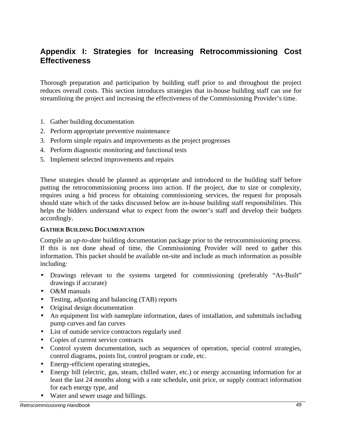## **Appendix I: Strategies for Increasing Retrocommissioning Cost Effectiveness**

Thorough preparation and participation by building staff prior to and throughout the project reduces overall costs. This section introduces strategies that in-house building staff can use for streamlining the project and increasing the effectiveness of the Commissioning Provider's time.

- 1. Gather building documentation
- 2. Perform appropriate preventive maintenance
- 3. Perform simple repairs and improvements as the project progresses
- 4. Perform diagnostic monitoring and functional tests
- 5. Implement selected improvements and repairs

These strategies should be planned as appropriate and introduced to the building staff before putting the retrocommissioning process into action. If the project, due to size or complexity, requires using a bid process for obtaining commissioning services, the request for proposals should state which of the tasks discussed below are in-house building staff responsibilities. This helps the bidders understand what to expect from the owner's staff and develop their budgets accordingly.

#### **GATHER BUILDING DOCUMENTATION**

Compile an *up-to-date* building documentation package prior to the retrocommissioning process. If this is not done ahead of time, the Commissioning Provider will need to gather this information. This packet should be available on-site and include as much information as possible including:

- Drawings relevant to the systems targeted for commissioning (preferably "As-Built" drawings if accurate)
- O&M manuals
- Testing, adjusting and balancing (TAB) reports
- Original design documentation
- An equipment list with nameplate information, dates of installation, and submittals including pump curves and fan curves
- List of outside service contractors regularly used
- Copies of current service contracts
- Control system documentation, such as sequences of operation, special control strategies, control diagrams, points list, control program or code, etc.
- Energy-efficient operating strategies,
- Energy bill (electric, gas, steam, chilled water, etc.) or energy accounting information for at least the last 24 months along with a rate schedule, unit price, or supply contract information for each energy type, and
- Water and sewer usage and billings.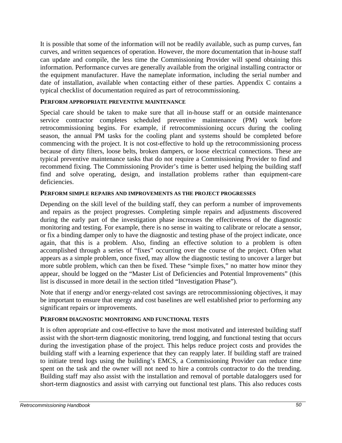It is possible that some of the information will not be readily available, such as pump curves, fan curves, and written sequences of operation. However, the more documentation that in-house staff can update and compile, the less time the Commissioning Provider will spend obtaining this information. Performance curves are generally available from the original installing contractor or the equipment manufacturer. Have the nameplate information, including the serial number and date of installation, available when contacting either of these parties. Appendix C contains a typical checklist of documentation required as part of retrocommissioning.

### **PERFORM APPROPRIATE PREVENTIVE MAINTENANCE**

Special care should be taken to make sure that all in-house staff or an outside maintenance service contractor completes scheduled preventive maintenance (PM) work before retrocommissioning begins. For example, if retrocommissioning occurs during the cooling season, the annual PM tasks for the cooling plant and systems should be completed before commencing with the project. It is not cost-effective to hold up the retrocommissioning process because of dirty filters, loose belts, broken dampers, or loose electrical connections. These are typical preventive maintenance tasks that do not require a Commissioning Provider to find and recommend fixing. The Commissioning Provider's time is better used helping the building staff find and solve operating, design, and installation problems rather than equipment-care deficiencies.

### **PERFORM SIMPLE REPAIRS AND IMPROVEMENTS AS THE PROJECT PROGRESSES**

Depending on the skill level of the building staff, they can perform a number of improvements and repairs as the project progresses. Completing simple repairs and adjustments discovered during the early part of the investigation phase increases the effectiveness of the diagnostic monitoring and testing. For example, there is no sense in waiting to calibrate or relocate a sensor, or fix a binding damper only to have the diagnostic and testing phase of the project indicate, once again, that this is a problem. Also, finding an effective solution to a problem is often accomplished through a series of "fixes" occurring over the course of the project. Often what appears as a simple problem, once fixed, may allow the diagnostic testing to uncover a larger but more subtle problem, which can then be fixed. These "simple fixes," no matter how minor they appear, should be logged on the "Master List of Deficiencies and Potential Improvements" (this list is discussed in more detail in the section titled "Investigation Phase").

Note that if energy and/or energy-related cost savings are retrocommissioning objectives, it may be important to ensure that energy and cost baselines are well established prior to performing any significant repairs or improvements.

#### **PERFORM DIAGNOSTIC MONITORING AND FUNCTIONAL TESTS**

It is often appropriate and cost-effective to have the most motivated and interested building staff assist with the short-term diagnostic monitoring, trend logging, and functional testing that occurs during the investigation phase of the project. This helps reduce project costs and provides the building staff with a learning experience that they can reapply later. If building staff are trained to initiate trend logs using the building's EMCS, a Commissioning Provider can reduce time spent on the task and the owner will not need to hire a controls contractor to do the trending. Building staff may also assist with the installation and removal of portable dataloggers used for short-term diagnostics and assist with carrying out functional test plans. This also reduces costs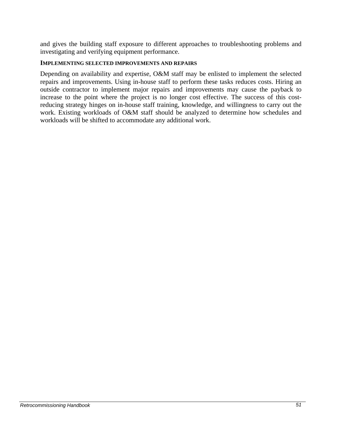and gives the building staff exposure to different approaches to troubleshooting problems and investigating and verifying equipment performance.

#### **IMPLEMENTING SELECTED IMPROVEMENTS AND REPAIRS**

Depending on availability and expertise, O&M staff may be enlisted to implement the selected repairs and improvements. Using in-house staff to perform these tasks reduces costs. Hiring an outside contractor to implement major repairs and improvements may cause the payback to increase to the point where the project is no longer cost effective. The success of this costreducing strategy hinges on in-house staff training, knowledge, and willingness to carry out the work. Existing workloads of O&M staff should be analyzed to determine how schedules and workloads will be shifted to accommodate any additional work.